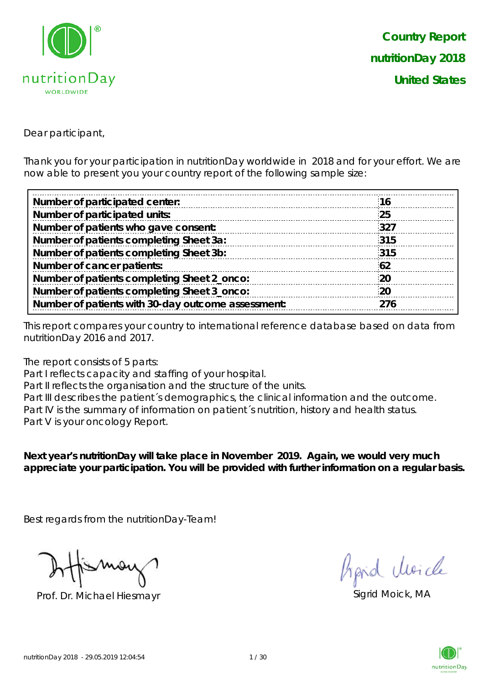

Dear participant,

Thank you for your participation in nutritionDay worldwide in 2018 and for your effort. We are now able to present you your country report of the following sample size:

| Number of participated center:                     | 16        |
|----------------------------------------------------|-----------|
| Number of participated units:                      | 25        |
| Number of patients who gave consent:               | 327       |
| Number of patients completing Sheet 3a:            | 315       |
| Number of patients completing Sheet 3b:            | 315       |
| Number of cancer patients:                         | 62        |
| Number of patients completing Sheet 2_onco:        | <b>20</b> |
| Number of patients completing Sheet 3_onco:        | 20        |
| Number of patients with 30-day outcome assessment: | 276       |
|                                                    |           |

This report compares your country to international reference database based on data from nutritionDay 2016 and 2017.

The report consists of 5 parts:

Part I reflects capacity and staffing of your hospital.

Part II reflects the organisation and the structure of the units.

Part III describes the patient's demographics, the clinical information and the outcome. Part IV is the summary of information on patient's nutrition, history and health status. Part V is your oncology Report.

**Next year's nutritionDay will take place in November 2019. Again, we would very much appreciate your participation. You will be provided with further information on a regular basis.**

Best regards from the nutritionDay-Team!

Prof. Dr. Michael Hiesmayr Sigrid Moick, MA

fraid Moich

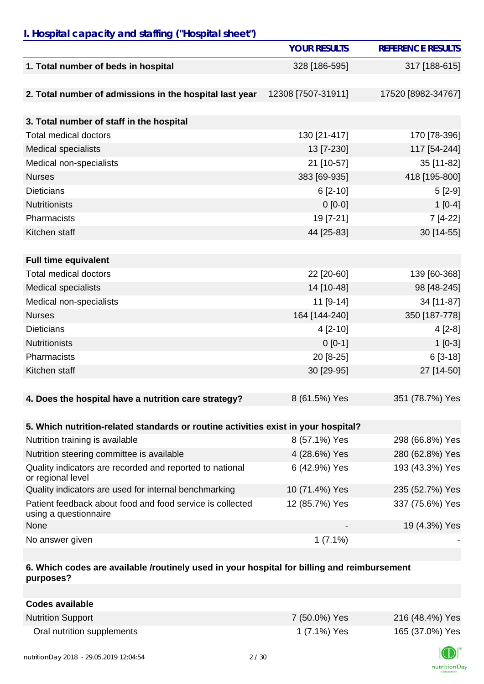## *I. Hospital capacity and staffing ("Hospital sheet")*

|                                                                                    | <b>YOUR RESULTS</b> | <b>REFERENCE RESULTS</b> |
|------------------------------------------------------------------------------------|---------------------|--------------------------|
| 1. Total number of beds in hospital                                                | 328 [186-595]       | 317 [188-615]            |
|                                                                                    |                     |                          |
| 2. Total number of admissions in the hospital last year                            | 12308 [7507-31911]  | 17520 [8982-34767]       |
|                                                                                    |                     |                          |
| 3. Total number of staff in the hospital                                           |                     |                          |
| <b>Total medical doctors</b>                                                       | 130 [21-417]        | 170 [78-396]             |
| <b>Medical specialists</b>                                                         | 13 [7-230]          | 117 [54-244]             |
| Medical non-specialists                                                            | 21 [10-57]          | 35 [11-82]               |
| <b>Nurses</b>                                                                      | 383 [69-935]        | 418 [195-800]            |
| <b>Dieticians</b>                                                                  | $6$ [2-10]          | $5[2-9]$                 |
| <b>Nutritionists</b>                                                               | $0 [0-0]$           | $1[0-4]$                 |
| Pharmacists                                                                        | 19 [7-21]           | 7 [4-22]                 |
| Kitchen staff                                                                      | 44 [25-83]          | 30 [14-55]               |
|                                                                                    |                     |                          |
| <b>Full time equivalent</b>                                                        |                     |                          |
| <b>Total medical doctors</b>                                                       | 22 [20-60]          | 139 [60-368]             |
| <b>Medical specialists</b>                                                         | 14 [10-48]          | 98 [48-245]              |
| Medical non-specialists                                                            | 11 [9-14]           | 34 [11-87]               |
| <b>Nurses</b>                                                                      | 164 [144-240]       | 350 [187-778]            |
| <b>Dieticians</b>                                                                  | 4 [2-10]            | $4[2-8]$                 |
| <b>Nutritionists</b>                                                               | $0[0-1]$            | $1[0-3]$                 |
| Pharmacists                                                                        | 20 [8-25]           | $6[3-18]$                |
| Kitchen staff                                                                      | 30 [29-95]          | 27 [14-50]               |
|                                                                                    |                     |                          |
| 4. Does the hospital have a nutrition care strategy?                               | 8 (61.5%) Yes       | 351 (78.7%) Yes          |
|                                                                                    |                     |                          |
| 5. Which nutrition-related standards or routine activities exist in your hospital? |                     |                          |
| Nutrition training is available                                                    | 8 (57.1%) Yes       | 298 (66.8%) Yes          |
| Nutrition steering committee is available                                          | 4 (28.6%) Yes       | 280 (62.8%) Yes          |
| Quality indicators are recorded and reported to national<br>or regional level      | 6 (42.9%) Yes       | 193 (43.3%) Yes          |
| Quality indicators are used for internal benchmarking                              | 10 (71.4%) Yes      | 235 (52.7%) Yes          |
| Patient feedback about food and food service is collected<br>using a questionnaire | 12 (85.7%) Yes      | 337 (75.6%) Yes          |
| None                                                                               |                     | 19 (4.3%) Yes            |
| No answer given                                                                    | $1(7.1\%)$          |                          |

#### **6. Which codes are available /routinely used in your hospital for billing and reimbursement purposes?**

| <b>Codes available</b>     |               |                 |
|----------------------------|---------------|-----------------|
| <b>Nutrition Support</b>   | 7 (50.0%) Yes | 216 (48.4%) Yes |
| Oral nutrition supplements | 1 (7.1%) Yes  | 165 (37.0%) Yes |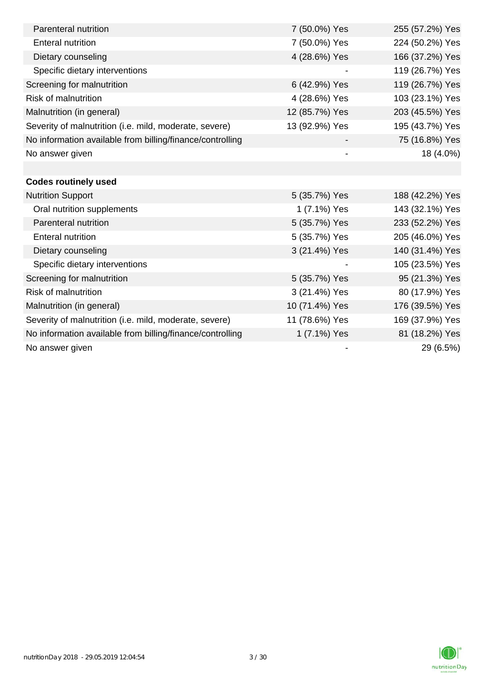| Parenteral nutrition                                      | 7 (50.0%) Yes            | 255 (57.2%) Yes |
|-----------------------------------------------------------|--------------------------|-----------------|
| <b>Enteral nutrition</b>                                  | 7 (50.0%) Yes            | 224 (50.2%) Yes |
| Dietary counseling                                        | 4 (28.6%) Yes            | 166 (37.2%) Yes |
| Specific dietary interventions                            |                          | 119 (26.7%) Yes |
| Screening for malnutrition                                | 6 (42.9%) Yes            | 119 (26.7%) Yes |
| Risk of malnutrition                                      | 4 (28.6%) Yes            | 103 (23.1%) Yes |
| Malnutrition (in general)                                 | 12 (85.7%) Yes           | 203 (45.5%) Yes |
| Severity of malnutrition (i.e. mild, moderate, severe)    | 13 (92.9%) Yes           | 195 (43.7%) Yes |
| No information available from billing/finance/controlling |                          | 75 (16.8%) Yes  |
| No answer given                                           | $\overline{\phantom{a}}$ | 18 (4.0%)       |
|                                                           |                          |                 |
| <b>Codes routinely used</b>                               |                          |                 |
| <b>Nutrition Support</b>                                  | 5 (35.7%) Yes            | 188 (42.2%) Yes |
| Oral nutrition supplements                                | 1 (7.1%) Yes             | 143 (32.1%) Yes |
| Parenteral nutrition                                      | 5 (35.7%) Yes            | 233 (52.2%) Yes |
| <b>Enteral nutrition</b>                                  | 5 (35.7%) Yes            | 205 (46.0%) Yes |
| Dietary counseling                                        | 3 (21.4%) Yes            | 140 (31.4%) Yes |
| Specific dietary interventions                            |                          | 105 (23.5%) Yes |
| Screening for malnutrition                                | 5 (35.7%) Yes            | 95 (21.3%) Yes  |
| <b>Risk of malnutrition</b>                               | 3 (21.4%) Yes            | 80 (17.9%) Yes  |
| Malnutrition (in general)                                 | 10 (71.4%) Yes           | 176 (39.5%) Yes |
| Severity of malnutrition (i.e. mild, moderate, severe)    | 11 (78.6%) Yes           | 169 (37.9%) Yes |
| No information available from billing/finance/controlling | 1 (7.1%) Yes             | 81 (18.2%) Yes  |
| No answer given                                           |                          | 29 (6.5%)       |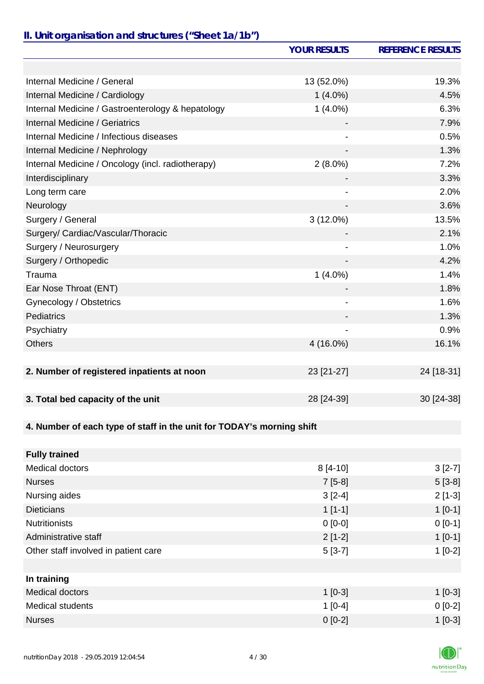# *II. Unit organisation and structures ("Sheet 1a/1b")*

|                                                                       | <b>YOUR RESULTS</b>          | <b>REFERENCE RESULTS</b> |
|-----------------------------------------------------------------------|------------------------------|--------------------------|
|                                                                       |                              |                          |
| Internal Medicine / General                                           | 13 (52.0%)                   | 19.3%                    |
| Internal Medicine / Cardiology                                        | $1(4.0\%)$                   | 4.5%                     |
| Internal Medicine / Gastroenterology & hepatology                     | $1(4.0\%)$                   | 6.3%                     |
| Internal Medicine / Geriatrics                                        |                              | 7.9%                     |
| Internal Medicine / Infectious diseases                               |                              | 0.5%                     |
| Internal Medicine / Nephrology                                        |                              | 1.3%                     |
| Internal Medicine / Oncology (incl. radiotherapy)                     | $2(8.0\%)$                   | 7.2%                     |
| Interdisciplinary                                                     |                              | 3.3%                     |
| Long term care                                                        |                              | 2.0%                     |
| Neurology                                                             |                              | 3.6%                     |
| Surgery / General                                                     | $3(12.0\%)$                  | 13.5%                    |
| Surgery/ Cardiac/Vascular/Thoracic                                    |                              | 2.1%                     |
| Surgery / Neurosurgery                                                |                              | 1.0%                     |
| Surgery / Orthopedic                                                  |                              | 4.2%                     |
| Trauma                                                                | $1(4.0\%)$                   | 1.4%                     |
| Ear Nose Throat (ENT)                                                 |                              | 1.8%                     |
| Gynecology / Obstetrics                                               | $\qquad \qquad \blacksquare$ | 1.6%                     |
| Pediatrics                                                            |                              | 1.3%                     |
| Psychiatry                                                            |                              | 0.9%                     |
| <b>Others</b>                                                         | 4 (16.0%)                    | 16.1%                    |
|                                                                       |                              |                          |
| 2. Number of registered inpatients at noon                            | 23 [21-27]                   | 24 [18-31]               |
|                                                                       |                              |                          |
| 3. Total bed capacity of the unit                                     | 28 [24-39]                   | 30 [24-38]               |
|                                                                       |                              |                          |
| 4. Number of each type of staff in the unit for TODAY's morning shift |                              |                          |
|                                                                       |                              |                          |
| <b>Fully trained</b>                                                  |                              |                          |
| <b>Medical doctors</b>                                                | $8[4-10]$                    | $3[2-7]$                 |
| <b>Nurses</b>                                                         | $7[5-8]$                     | $5[3-8]$                 |
| Nursing aides                                                         | $3[2-4]$                     | $2[1-3]$                 |
| <b>Dieticians</b>                                                     | $1[1-1]$                     | $1[0-1]$                 |
| <b>Nutritionists</b>                                                  | $0 [0-0]$                    | $0 [0-1]$                |
| Administrative staff                                                  | $2[1-2]$                     | $1[0-1]$                 |
| Other staff involved in patient care                                  | $5[3-7]$                     | $1[0-2]$                 |
|                                                                       |                              |                          |
| In training                                                           |                              |                          |
| <b>Medical doctors</b>                                                | $1[0-3]$                     | $1[0-3]$                 |
| <b>Medical students</b>                                               | $1[0-4]$                     | $0[0-2]$                 |
| <b>Nurses</b>                                                         | $0[0-2]$                     | $1[0-3]$                 |

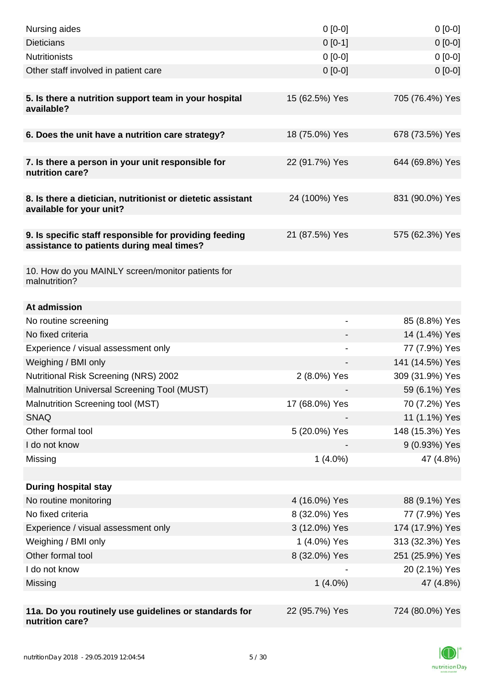| Nursing aides                                                                                       | $0 [0-0]$      | $0[0-0]$        |
|-----------------------------------------------------------------------------------------------------|----------------|-----------------|
| <b>Dieticians</b>                                                                                   | $0[0-1]$       | $0[0-0]$        |
| <b>Nutritionists</b>                                                                                | $0 [0-0]$      | $0[0-0]$        |
| Other staff involved in patient care                                                                | $0 [0-0]$      | $0 [0-0]$       |
|                                                                                                     |                |                 |
| 5. Is there a nutrition support team in your hospital<br>available?                                 | 15 (62.5%) Yes | 705 (76.4%) Yes |
| 6. Does the unit have a nutrition care strategy?                                                    | 18 (75.0%) Yes | 678 (73.5%) Yes |
|                                                                                                     |                |                 |
| 7. Is there a person in your unit responsible for<br>nutrition care?                                | 22 (91.7%) Yes | 644 (69.8%) Yes |
| 8. Is there a dietician, nutritionist or dietetic assistant<br>available for your unit?             | 24 (100%) Yes  | 831 (90.0%) Yes |
| 9. Is specific staff responsible for providing feeding<br>assistance to patients during meal times? | 21 (87.5%) Yes | 575 (62.3%) Yes |
| 10. How do you MAINLY screen/monitor patients for<br>malnutrition?                                  |                |                 |
| At admission                                                                                        |                |                 |
| No routine screening                                                                                |                | 85 (8.8%) Yes   |
| No fixed criteria                                                                                   |                | 14 (1.4%) Yes   |
| Experience / visual assessment only                                                                 |                | 77 (7.9%) Yes   |
| Weighing / BMI only                                                                                 |                | 141 (14.5%) Yes |
| Nutritional Risk Screening (NRS) 2002                                                               | 2 (8.0%) Yes   | 309 (31.9%) Yes |
| Malnutrition Universal Screening Tool (MUST)                                                        |                | 59 (6.1%) Yes   |
| Malnutrition Screening tool (MST)                                                                   | 17 (68.0%) Yes | 70 (7.2%) Yes   |
| <b>SNAQ</b>                                                                                         |                | 11 (1.1%) Yes   |
| Other formal tool                                                                                   | 5 (20.0%) Yes  | 148 (15.3%) Yes |
| I do not know                                                                                       |                | 9 (0.93%) Yes   |
| Missing                                                                                             | $1(4.0\%)$     | 47 (4.8%)       |
|                                                                                                     |                |                 |
| <b>During hospital stay</b>                                                                         |                |                 |
| No routine monitoring                                                                               | 4 (16.0%) Yes  | 88 (9.1%) Yes   |
| No fixed criteria                                                                                   | 8 (32.0%) Yes  | 77 (7.9%) Yes   |
| Experience / visual assessment only                                                                 | 3 (12.0%) Yes  | 174 (17.9%) Yes |
| Weighing / BMI only                                                                                 | 1 (4.0%) Yes   | 313 (32.3%) Yes |
| Other formal tool                                                                                   | 8 (32.0%) Yes  | 251 (25.9%) Yes |
| I do not know                                                                                       |                | 20 (2.1%) Yes   |
| Missing                                                                                             | $1(4.0\%)$     | 47 (4.8%)       |
|                                                                                                     |                |                 |
| 11a. Do you routinely use guidelines or standards for<br>nutrition care?                            | 22 (95.7%) Yes | 724 (80.0%) Yes |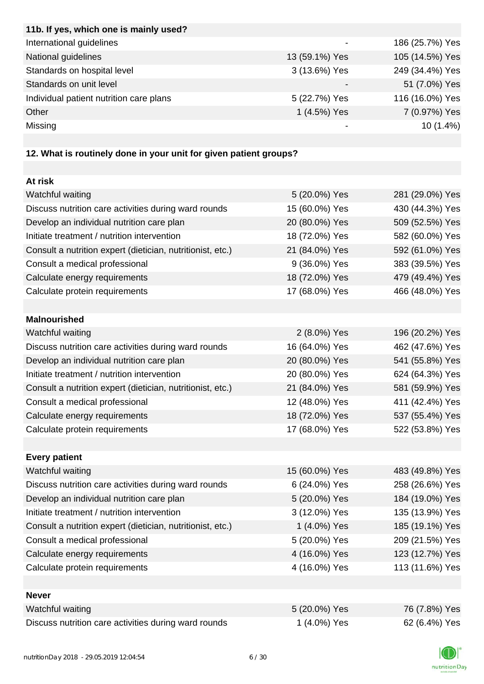| 11b. If yes, which one is mainly used?                            |                |                 |
|-------------------------------------------------------------------|----------------|-----------------|
| International guidelines                                          |                | 186 (25.7%) Yes |
| National guidelines                                               | 13 (59.1%) Yes | 105 (14.5%) Yes |
| Standards on hospital level                                       | 3 (13.6%) Yes  | 249 (34.4%) Yes |
| Standards on unit level                                           |                | 51 (7.0%) Yes   |
| Individual patient nutrition care plans                           | 5 (22.7%) Yes  | 116 (16.0%) Yes |
| Other                                                             | 1 (4.5%) Yes   | 7 (0.97%) Yes   |
| Missing                                                           |                | 10(1.4%)        |
|                                                                   |                |                 |
| 12. What is routinely done in your unit for given patient groups? |                |                 |
|                                                                   |                |                 |
| At risk                                                           |                |                 |
| Watchful waiting                                                  | 5 (20.0%) Yes  | 281 (29.0%) Yes |
| Discuss nutrition care activities during ward rounds              | 15 (60.0%) Yes | 430 (44.3%) Yes |
| Develop an individual nutrition care plan                         | 20 (80.0%) Yes | 509 (52.5%) Yes |
| Initiate treatment / nutrition intervention                       | 18 (72.0%) Yes | 582 (60.0%) Yes |
| Consult a nutrition expert (dietician, nutritionist, etc.)        | 21 (84.0%) Yes | 592 (61.0%) Yes |
| Consult a medical professional                                    | 9 (36.0%) Yes  | 383 (39.5%) Yes |
| Calculate energy requirements                                     | 18 (72.0%) Yes | 479 (49.4%) Yes |
| Calculate protein requirements                                    | 17 (68.0%) Yes | 466 (48.0%) Yes |
|                                                                   |                |                 |
| <b>Malnourished</b>                                               |                |                 |
| Watchful waiting                                                  | 2 (8.0%) Yes   | 196 (20.2%) Yes |
| Discuss nutrition care activities during ward rounds              | 16 (64.0%) Yes | 462 (47.6%) Yes |
| Develop an individual nutrition care plan                         | 20 (80.0%) Yes | 541 (55.8%) Yes |
| Initiate treatment / nutrition intervention                       | 20 (80.0%) Yes | 624 (64.3%) Yes |
| Consult a nutrition expert (dietician, nutritionist, etc.)        | 21 (84.0%) Yes | 581 (59.9%) Yes |
| Consult a medical professional                                    | 12 (48.0%) Yes | 411 (42.4%) Yes |
| Calculate energy requirements                                     | 18 (72.0%) Yes | 537 (55.4%) Yes |
| Calculate protein requirements                                    | 17 (68.0%) Yes | 522 (53.8%) Yes |
|                                                                   |                |                 |
| <b>Every patient</b>                                              |                |                 |
| Watchful waiting                                                  | 15 (60.0%) Yes | 483 (49.8%) Yes |
| Discuss nutrition care activities during ward rounds              | 6 (24.0%) Yes  | 258 (26.6%) Yes |
| Develop an individual nutrition care plan                         | 5 (20.0%) Yes  | 184 (19.0%) Yes |
| Initiate treatment / nutrition intervention                       | 3 (12.0%) Yes  | 135 (13.9%) Yes |
| Consult a nutrition expert (dietician, nutritionist, etc.)        | 1 (4.0%) Yes   | 185 (19.1%) Yes |
| Consult a medical professional                                    | 5 (20.0%) Yes  | 209 (21.5%) Yes |
| Calculate energy requirements                                     | 4 (16.0%) Yes  | 123 (12.7%) Yes |
| Calculate protein requirements                                    | 4 (16.0%) Yes  | 113 (11.6%) Yes |
|                                                                   |                |                 |
| <b>Never</b>                                                      |                |                 |
| Watchful waiting                                                  | 5 (20.0%) Yes  | 76 (7.8%) Yes   |
| Discuss nutrition care activities during ward rounds              | 1 (4.0%) Yes   | 62 (6.4%) Yes   |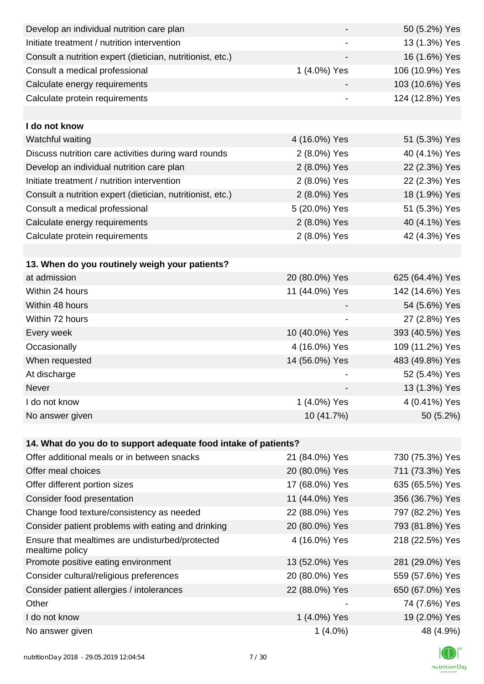| Develop an individual nutrition care plan                          |                          | 50 (5.2%) Yes   |
|--------------------------------------------------------------------|--------------------------|-----------------|
| Initiate treatment / nutrition intervention                        |                          | 13 (1.3%) Yes   |
| Consult a nutrition expert (dietician, nutritionist, etc.)         |                          | 16 (1.6%) Yes   |
| Consult a medical professional                                     | 1 (4.0%) Yes             | 106 (10.9%) Yes |
| Calculate energy requirements                                      |                          | 103 (10.6%) Yes |
| Calculate protein requirements                                     |                          | 124 (12.8%) Yes |
|                                                                    |                          |                 |
| I do not know                                                      |                          |                 |
| Watchful waiting                                                   | 4 (16.0%) Yes            | 51 (5.3%) Yes   |
| Discuss nutrition care activities during ward rounds               | 2 (8.0%) Yes             | 40 (4.1%) Yes   |
| Develop an individual nutrition care plan                          | 2 (8.0%) Yes             | 22 (2.3%) Yes   |
| Initiate treatment / nutrition intervention                        | 2 (8.0%) Yes             | 22 (2.3%) Yes   |
| Consult a nutrition expert (dietician, nutritionist, etc.)         | 2 (8.0%) Yes             | 18 (1.9%) Yes   |
| Consult a medical professional                                     | 5 (20.0%) Yes            | 51 (5.3%) Yes   |
| Calculate energy requirements                                      | 2 (8.0%) Yes             | 40 (4.1%) Yes   |
| Calculate protein requirements                                     | 2 (8.0%) Yes             | 42 (4.3%) Yes   |
|                                                                    |                          |                 |
| 13. When do you routinely weigh your patients?                     |                          |                 |
| at admission                                                       | 20 (80.0%) Yes           | 625 (64.4%) Yes |
| Within 24 hours                                                    | 11 (44.0%) Yes           | 142 (14.6%) Yes |
| Within 48 hours                                                    |                          | 54 (5.6%) Yes   |
| Within 72 hours                                                    | $\overline{\phantom{a}}$ | 27 (2.8%) Yes   |
| Every week                                                         | 10 (40.0%) Yes           | 393 (40.5%) Yes |
| Occasionally                                                       | 4 (16.0%) Yes            | 109 (11.2%) Yes |
| When requested                                                     | 14 (56.0%) Yes           | 483 (49.8%) Yes |
| At discharge                                                       |                          | 52 (5.4%) Yes   |
| Never                                                              |                          | 13 (1.3%) Yes   |
| I do not know                                                      | 1 (4.0%) Yes             | 4 (0.41%) Yes   |
| No answer given                                                    | 10 (41.7%)               | 50 (5.2%)       |
|                                                                    |                          |                 |
| 14. What do you do to support adequate food intake of patients?    |                          |                 |
| Offer additional meals or in between snacks                        | 21 (84.0%) Yes           | 730 (75.3%) Yes |
| Offer meal choices                                                 | 20 (80.0%) Yes           | 711 (73.3%) Yes |
| Offer different portion sizes                                      | 17 (68.0%) Yes           | 635 (65.5%) Yes |
| Consider food presentation                                         | 11 (44.0%) Yes           | 356 (36.7%) Yes |
| Change food texture/consistency as needed                          | 22 (88.0%) Yes           | 797 (82.2%) Yes |
| Consider patient problems with eating and drinking                 | 20 (80.0%) Yes           | 793 (81.8%) Yes |
| Ensure that mealtimes are undisturbed/protected<br>mealtime policy | 4 (16.0%) Yes            | 218 (22.5%) Yes |
| Promote positive eating environment                                | 13 (52.0%) Yes           | 281 (29.0%) Yes |
| Consider cultural/religious preferences                            | 20 (80.0%) Yes           | 559 (57.6%) Yes |
| Consider patient allergies / intolerances                          | 22 (88.0%) Yes           | 650 (67.0%) Yes |
| Other                                                              |                          | 74 (7.6%) Yes   |
| I do not know                                                      | 1 (4.0%) Yes             | 19 (2.0%) Yes   |
| No answer given                                                    | $1(4.0\%)$               | 48 (4.9%)       |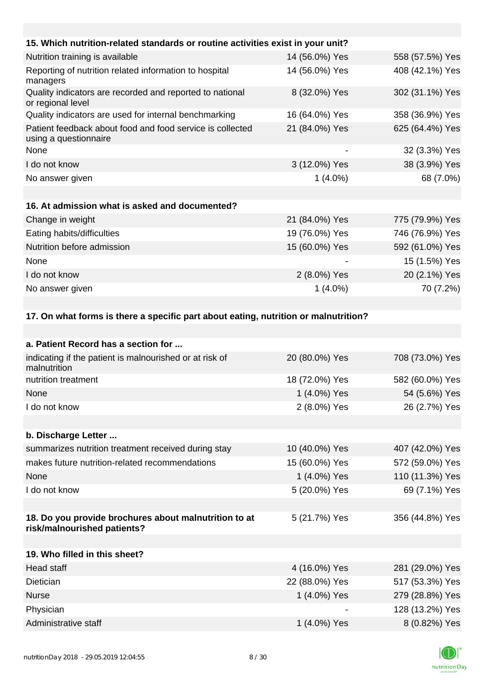| 15. Which nutrition-related standards or routine activities exist in your unit?     |                |                 |
|-------------------------------------------------------------------------------------|----------------|-----------------|
| Nutrition training is available                                                     | 14 (56.0%) Yes | 558 (57.5%) Yes |
| Reporting of nutrition related information to hospital<br>managers                  | 14 (56.0%) Yes | 408 (42.1%) Yes |
| Quality indicators are recorded and reported to national<br>or regional level       | 8 (32.0%) Yes  | 302 (31.1%) Yes |
| Quality indicators are used for internal benchmarking                               | 16 (64.0%) Yes | 358 (36.9%) Yes |
| Patient feedback about food and food service is collected<br>using a questionnaire  | 21 (84.0%) Yes | 625 (64.4%) Yes |
| None                                                                                |                | 32 (3.3%) Yes   |
| I do not know                                                                       | 3 (12.0%) Yes  | 38 (3.9%) Yes   |
| No answer given                                                                     | $1(4.0\%)$     | 68 (7.0%)       |
|                                                                                     |                |                 |
| 16. At admission what is asked and documented?                                      |                |                 |
| Change in weight                                                                    | 21 (84.0%) Yes | 775 (79.9%) Yes |
| Eating habits/difficulties                                                          | 19 (76.0%) Yes | 746 (76.9%) Yes |
| Nutrition before admission                                                          | 15 (60.0%) Yes | 592 (61.0%) Yes |
| None                                                                                |                | 15 (1.5%) Yes   |
| I do not know                                                                       | 2 (8.0%) Yes   | 20 (2.1%) Yes   |
| No answer given                                                                     | $1(4.0\%)$     | 70 (7.2%)       |
|                                                                                     |                |                 |
| 17. On what forms is there a specific part about eating, nutrition or malnutrition? |                |                 |
|                                                                                     |                |                 |
| a. Patient Record has a section for                                                 |                |                 |
| indicating if the patient is malnourished or at risk of<br>malnutrition             | 20 (80.0%) Yes | 708 (73.0%) Yes |

| nutrition treatment                                                                  | 18 (72.0%) Yes | 582 (60.0%) Yes |
|--------------------------------------------------------------------------------------|----------------|-----------------|
| None                                                                                 | 1 (4.0%) Yes   | 54 (5.6%) Yes   |
| I do not know                                                                        | 2 (8.0%) Yes   | 26 (2.7%) Yes   |
|                                                                                      |                |                 |
| b. Discharge Letter                                                                  |                |                 |
| summarizes nutrition treatment received during stay                                  | 10 (40.0%) Yes | 407 (42.0%) Yes |
| makes future nutrition-related recommendations                                       | 15 (60.0%) Yes | 572 (59.0%) Yes |
| None                                                                                 | 1 (4.0%) Yes   | 110 (11.3%) Yes |
| I do not know                                                                        | 5 (20.0%) Yes  | 69 (7.1%) Yes   |
|                                                                                      |                |                 |
| 18. Do you provide brochures about malnutrition to at<br>risk/malnourished patients? | 5 (21.7%) Yes  | 356 (44.8%) Yes |
|                                                                                      |                |                 |
| 19. Who filled in this sheet?                                                        |                |                 |
| Head staff                                                                           | 4 (16.0%) Yes  | 281 (29.0%) Yes |
| Dietician                                                                            | 22 (88.0%) Yes | 517 (53.3%) Yes |
|                                                                                      |                |                 |

| <b>Nurse</b>         | 1 (4.0%) Yes             | 279 (28.8%) Yes |
|----------------------|--------------------------|-----------------|
| Physician            | $\overline{\phantom{0}}$ | 128 (13.2%) Yes |
| Administrative staff | 1 (4.0%) Yes             | 8 (0.82%) Yes   |

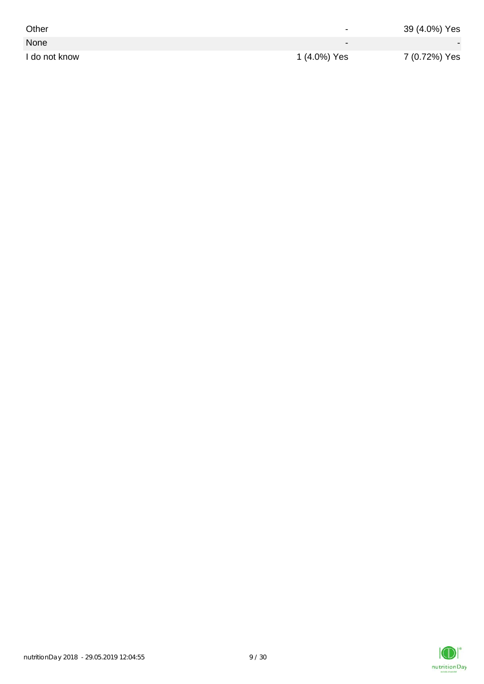| Other         | $\overline{\phantom{0}}$ | 39 (4.0%) Yes |
|---------------|--------------------------|---------------|
| None          | $\overline{\phantom{0}}$ |               |
| I do not know | 1 (4.0%) Yes             | 7 (0.72%) Yes |

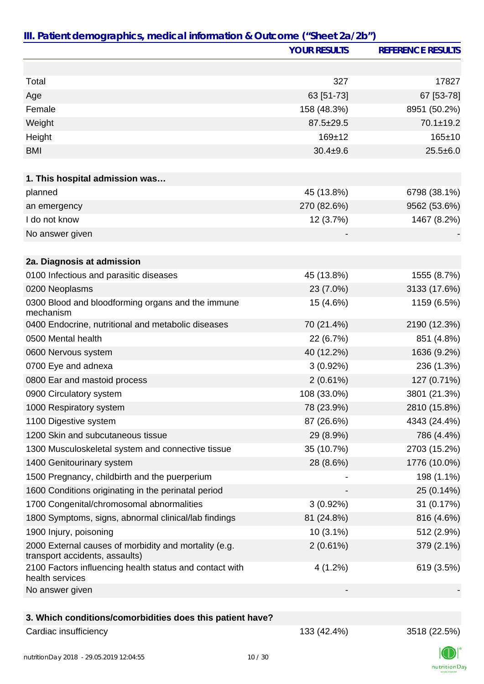|                                                                                         | <b>YOUR RESULTS</b> | <b>REFERENCE RESULTS</b> |
|-----------------------------------------------------------------------------------------|---------------------|--------------------------|
|                                                                                         |                     |                          |
| Total                                                                                   | 327                 | 17827                    |
| Age                                                                                     | 63 [51-73]          | 67 [53-78]               |
| Female                                                                                  | 158 (48.3%)         | 8951 (50.2%)             |
| Weight                                                                                  | 87.5±29.5           | 70.1±19.2                |
| Height                                                                                  | $169 + 12$          | 165±10                   |
| <b>BMI</b>                                                                              | $30.4 \pm 9.6$      | $25.5 \pm 6.0$           |
|                                                                                         |                     |                          |
| 1. This hospital admission was                                                          |                     |                          |
| planned                                                                                 | 45 (13.8%)          | 6798 (38.1%)             |
| an emergency                                                                            | 270 (82.6%)         | 9562 (53.6%)             |
| I do not know                                                                           | 12 (3.7%)           | 1467 (8.2%)              |
| No answer given                                                                         |                     |                          |
|                                                                                         |                     |                          |
| 2a. Diagnosis at admission                                                              |                     |                          |
| 0100 Infectious and parasitic diseases                                                  | 45 (13.8%)          | 1555 (8.7%)              |
| 0200 Neoplasms                                                                          | 23 (7.0%)           | 3133 (17.6%)             |
| 0300 Blood and bloodforming organs and the immune<br>mechanism                          | 15 (4.6%)           | 1159 (6.5%)              |
| 0400 Endocrine, nutritional and metabolic diseases                                      | 70 (21.4%)          | 2190 (12.3%)             |
| 0500 Mental health                                                                      | 22 (6.7%)           | 851 (4.8%)               |
| 0600 Nervous system                                                                     | 40 (12.2%)          | 1636 (9.2%)              |
| 0700 Eye and adnexa                                                                     | 3(0.92%)            | 236 (1.3%)               |
| 0800 Ear and mastoid process                                                            | 2(0.61%)            | 127 (0.71%)              |
| 0900 Circulatory system                                                                 | 108 (33.0%)         | 3801 (21.3%)             |
| 1000 Respiratory system                                                                 | 78 (23.9%)          | 2810 (15.8%)             |
| 1100 Digestive system                                                                   | 87 (26.6%)          | 4343 (24.4%)             |
| 1200 Skin and subcutaneous tissue                                                       | 29 (8.9%)           | 786 (4.4%)               |
| 1300 Musculoskeletal system and connective tissue                                       | 35 (10.7%)          | 2703 (15.2%)             |
| 1400 Genitourinary system                                                               | 28 (8.6%)           | 1776 (10.0%)             |
| 1500 Pregnancy, childbirth and the puerperium                                           |                     | 198 (1.1%)               |
| 1600 Conditions originating in the perinatal period                                     |                     | 25 (0.14%)               |
| 1700 Congenital/chromosomal abnormalities                                               | $3(0.92\%)$         | 31 (0.17%)               |
| 1800 Symptoms, signs, abnormal clinical/lab findings                                    | 81 (24.8%)          | 816 (4.6%)               |
| 1900 Injury, poisoning                                                                  | 10 (3.1%)           | 512 (2.9%)               |
| 2000 External causes of morbidity and mortality (e.g.<br>transport accidents, assaults) | $2(0.61\%)$         | 379 (2.1%)               |
| 2100 Factors influencing health status and contact with<br>health services              | 4(1.2%)             | 619 (3.5%)               |
| No answer given                                                                         |                     |                          |
|                                                                                         |                     |                          |
| 3. Which conditions/comorbidities does this patient have?                               |                     |                          |
| Cardiac insufficiency                                                                   | 133 (42.4%)         | 3518 (22.5%)             |

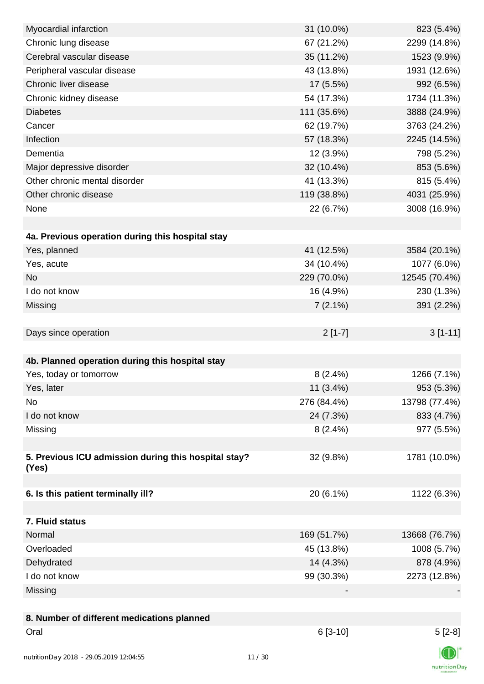| Myocardial infarction                                | 31 (10.0%)  | 823 (5.4%)    |
|------------------------------------------------------|-------------|---------------|
| Chronic lung disease                                 | 67 (21.2%)  | 2299 (14.8%)  |
| Cerebral vascular disease                            | 35 (11.2%)  | 1523 (9.9%)   |
| Peripheral vascular disease                          | 43 (13.8%)  | 1931 (12.6%)  |
| Chronic liver disease                                | 17 (5.5%)   | 992 (6.5%)    |
| Chronic kidney disease                               | 54 (17.3%)  | 1734 (11.3%)  |
| <b>Diabetes</b>                                      | 111 (35.6%) | 3888 (24.9%)  |
| Cancer                                               | 62 (19.7%)  | 3763 (24.2%)  |
| Infection                                            | 57 (18.3%)  | 2245 (14.5%)  |
| Dementia                                             | 12 (3.9%)   | 798 (5.2%)    |
| Major depressive disorder                            | 32 (10.4%)  | 853 (5.6%)    |
| Other chronic mental disorder                        | 41 (13.3%)  | 815 (5.4%)    |
| Other chronic disease                                | 119 (38.8%) | 4031 (25.9%)  |
| None                                                 | 22 (6.7%)   | 3008 (16.9%)  |
|                                                      |             |               |
| 4a. Previous operation during this hospital stay     |             |               |
| Yes, planned                                         | 41 (12.5%)  | 3584 (20.1%)  |
| Yes, acute                                           | 34 (10.4%)  | 1077 (6.0%)   |
| <b>No</b>                                            | 229 (70.0%) | 12545 (70.4%) |
| I do not know                                        | 16 (4.9%)   | 230 (1.3%)    |
| Missing                                              | 7(2.1%)     | 391 (2.2%)    |
|                                                      |             |               |
| Days since operation                                 | $2[1-7]$    | $3[1-11]$     |
|                                                      |             |               |
| 4b. Planned operation during this hospital stay      |             |               |
| Yes, today or tomorrow                               | $8(2.4\%)$  | 1266 (7.1%)   |
| Yes, later                                           | $11(3.4\%)$ | 953 (5.3%)    |
| No                                                   | 276 (84.4%) | 13798 (77.4%) |
| I do not know                                        | 24 (7.3%)   | 833 (4.7%)    |
| Missing                                              | $8(2.4\%)$  | 977 (5.5%)    |
|                                                      |             |               |
| 5. Previous ICU admission during this hospital stay? | 32 (9.8%)   | 1781 (10.0%)  |
| (Yes)                                                |             |               |
|                                                      |             |               |
| 6. Is this patient terminally ill?                   | 20 (6.1%)   | 1122 (6.3%)   |
|                                                      |             |               |
| 7. Fluid status                                      |             |               |
| Normal                                               | 169 (51.7%) | 13668 (76.7%) |
| Overloaded                                           | 45 (13.8%)  | 1008 (5.7%)   |
| Dehydrated                                           | 14 (4.3%)   | 878 (4.9%)    |
| I do not know                                        | 99 (30.3%)  | 2273 (12.8%)  |
| Missing                                              |             |               |
|                                                      |             |               |
| 8. Number of different medications planned           |             |               |
| Oral                                                 | $6[3-10]$   | $5[2-8]$      |
|                                                      |             |               |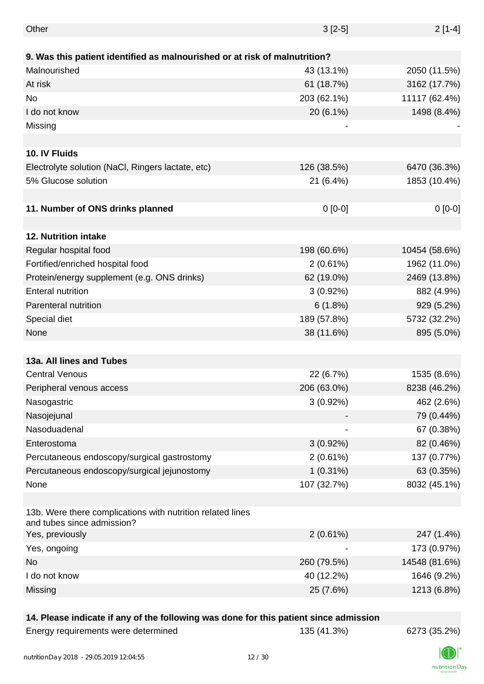| Other                                                                                    | $3[2-5]$    | $2[1-4]$      |
|------------------------------------------------------------------------------------------|-------------|---------------|
|                                                                                          |             |               |
| 9. Was this patient identified as malnourished or at risk of malnutrition?               |             |               |
| Malnourished                                                                             | 43 (13.1%)  | 2050 (11.5%)  |
| At risk                                                                                  | 61 (18.7%)  | 3162 (17.7%)  |
| <b>No</b>                                                                                | 203 (62.1%) | 11117 (62.4%) |
| I do not know                                                                            | 20 (6.1%)   | 1498 (8.4%)   |
| Missing                                                                                  |             |               |
|                                                                                          |             |               |
| 10. IV Fluids                                                                            |             |               |
| Electrolyte solution (NaCl, Ringers lactate, etc)                                        | 126 (38.5%) | 6470 (36.3%)  |
| 5% Glucose solution                                                                      | 21 (6.4%)   | 1853 (10.4%)  |
|                                                                                          |             |               |
| 11. Number of ONS drinks planned                                                         | $0 [0-0]$   | $0[0-0]$      |
|                                                                                          |             |               |
| 12. Nutrition intake                                                                     |             |               |
| Regular hospital food                                                                    | 198 (60.6%) | 10454 (58.6%) |
| Fortified/enriched hospital food                                                         | $2(0.61\%)$ | 1962 (11.0%)  |
| Protein/energy supplement (e.g. ONS drinks)                                              | 62 (19.0%)  | 2469 (13.8%)  |
| <b>Enteral nutrition</b>                                                                 | $3(0.92\%)$ | 882 (4.9%)    |
| Parenteral nutrition                                                                     | 6(1.8%)     | 929 (5.2%)    |
| Special diet                                                                             | 189 (57.8%) | 5732 (32.2%)  |
| None                                                                                     | 38 (11.6%)  | 895 (5.0%)    |
|                                                                                          |             |               |
| 13a. All lines and Tubes                                                                 |             |               |
| <b>Central Venous</b>                                                                    | 22 (6.7%)   | 1535 (8.6%)   |
| Peripheral venous access                                                                 | 206 (63.0%) | 8238 (46.2%)  |
| Nasogastric                                                                              | $3(0.92\%)$ | 462 (2.6%)    |
| Nasojejunal                                                                              |             | 79 (0.44%)    |
| Nasoduadenal                                                                             |             | 67 (0.38%)    |
| Enterostoma                                                                              |             |               |
|                                                                                          | $3(0.92\%)$ | 82 (0.46%)    |
| Percutaneous endoscopy/surgical gastrostomy                                              | 2(0.61%)    | 137 (0.77%)   |
| Percutaneous endoscopy/surgical jejunostomy                                              | $1(0.31\%)$ | 63 (0.35%)    |
| None                                                                                     | 107 (32.7%) | 8032 (45.1%)  |
| 13b. Were there complications with nutrition related lines<br>and tubes since admission? |             |               |
| Yes, previously                                                                          | $2(0.61\%)$ | 247 (1.4%)    |
| Yes, ongoing                                                                             |             | 173 (0.97%)   |
| <b>No</b>                                                                                | 260 (79.5%) | 14548 (81.6%) |
| I do not know                                                                            | 40 (12.2%)  | 1646 (9.2%)   |
| Missing                                                                                  | 25 (7.6%)   | 1213 (6.8%)   |
|                                                                                          |             |               |

### **14. Please indicate if any of the following was done for this patient since admission**

| Energy requirements were determined |  |
|-------------------------------------|--|
|-------------------------------------|--|

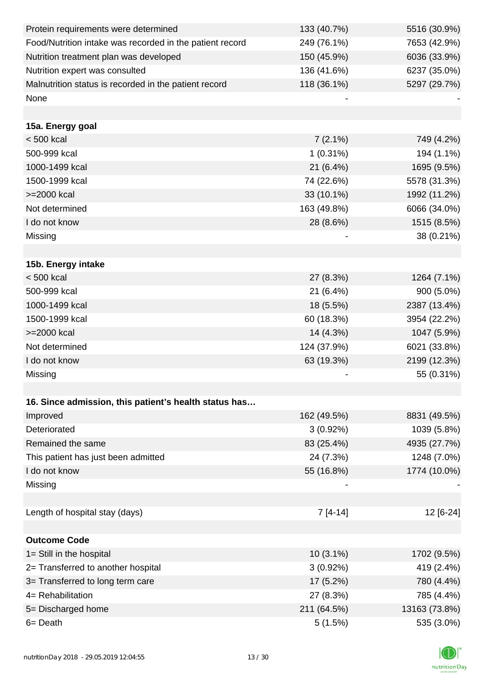| Protein requirements were determined                     | 133 (40.7%) | 5516 (30.9%)  |
|----------------------------------------------------------|-------------|---------------|
| Food/Nutrition intake was recorded in the patient record | 249 (76.1%) | 7653 (42.9%)  |
| Nutrition treatment plan was developed                   | 150 (45.9%) | 6036 (33.9%)  |
| Nutrition expert was consulted                           | 136 (41.6%) | 6237 (35.0%)  |
| Malnutrition status is recorded in the patient record    | 118 (36.1%) | 5297 (29.7%)  |
| None                                                     |             |               |
|                                                          |             |               |
| 15a. Energy goal                                         |             |               |
| $< 500$ kcal                                             | $7(2.1\%)$  | 749 (4.2%)    |
| 500-999 kcal                                             | $1(0.31\%)$ | 194 (1.1%)    |
| 1000-1499 kcal                                           | 21 (6.4%)   | 1695 (9.5%)   |
| 1500-1999 kcal                                           | 74 (22.6%)  | 5578 (31.3%)  |
| >=2000 kcal                                              | 33 (10.1%)  | 1992 (11.2%)  |
| Not determined                                           | 163 (49.8%) | 6066 (34.0%)  |
| I do not know                                            | 28 (8.6%)   | 1515 (8.5%)   |
| Missing                                                  |             | 38 (0.21%)    |
|                                                          |             |               |
| 15b. Energy intake                                       |             |               |
| $< 500$ kcal                                             | 27 (8.3%)   | 1264 (7.1%)   |
| 500-999 kcal                                             | 21 (6.4%)   | 900 (5.0%)    |
| 1000-1499 kcal                                           | 18 (5.5%)   | 2387 (13.4%)  |
| 1500-1999 kcal                                           | 60 (18.3%)  | 3954 (22.2%)  |
| >=2000 kcal                                              | 14 (4.3%)   | 1047 (5.9%)   |
| Not determined                                           | 124 (37.9%) | 6021 (33.8%)  |
| I do not know                                            | 63 (19.3%)  | 2199 (12.3%)  |
| Missing                                                  |             | 55 (0.31%)    |
|                                                          |             |               |
| 16. Since admission, this patient's health status has    |             |               |
| Improved                                                 | 162 (49.5%) | 8831 (49.5%)  |
| Deteriorated                                             | $3(0.92\%)$ | 1039 (5.8%)   |
| Remained the same                                        | 83 (25.4%)  | 4935 (27.7%)  |
| This patient has just been admitted                      | 24 (7.3%)   | 1248 (7.0%)   |
| I do not know                                            | 55 (16.8%)  | 1774 (10.0%)  |
| Missing                                                  |             |               |
|                                                          |             |               |
| Length of hospital stay (days)                           | $7[4-14]$   | 12 [6-24]     |
|                                                          |             |               |
| <b>Outcome Code</b>                                      |             |               |
| 1= Still in the hospital                                 | $10(3.1\%)$ | 1702 (9.5%)   |
| 2= Transferred to another hospital                       | $3(0.92\%)$ | 419 (2.4%)    |
| 3= Transferred to long term care                         | 17 (5.2%)   | 780 (4.4%)    |
| 4= Rehabilitation                                        | 27 (8.3%)   | 785 (4.4%)    |
| 5= Discharged home                                       | 211 (64.5%) | 13163 (73.8%) |
| 6= Death                                                 | 5(1.5%)     | 535 (3.0%)    |

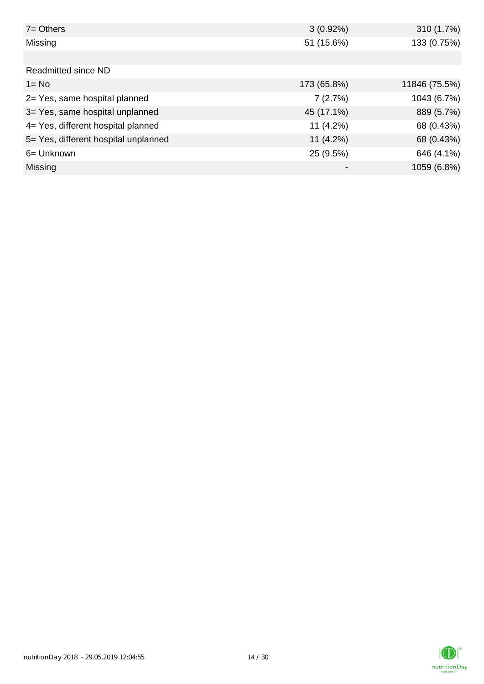| $7 =$ Others                         | $3(0.92\%)$ | 310 (1.7%)    |
|--------------------------------------|-------------|---------------|
| Missing                              | 51 (15.6%)  | 133 (0.75%)   |
|                                      |             |               |
| <b>Readmitted since ND</b>           |             |               |
| $1 = No$                             | 173 (65.8%) | 11846 (75.5%) |
| 2= Yes, same hospital planned        | 7(2.7%)     | 1043 (6.7%)   |
| 3= Yes, same hospital unplanned      | 45 (17.1%)  | 889 (5.7%)    |
| 4= Yes, different hospital planned   | $11(4.2\%)$ | 68 (0.43%)    |
| 5= Yes, different hospital unplanned | $11(4.2\%)$ | 68 (0.43%)    |
| 6= Unknown                           | 25 (9.5%)   | 646 (4.1%)    |
| <b>Missing</b>                       |             | 1059 (6.8%)   |

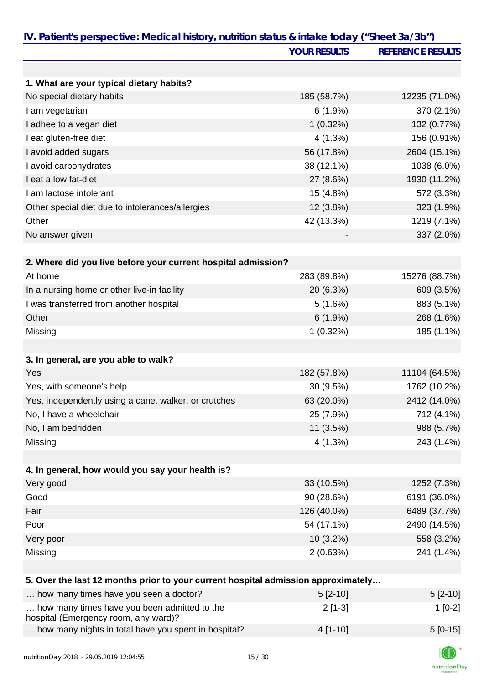|                                                                                   | <b>YOUR RESULTS</b> | <b>REFERENCE RESULTS</b> |
|-----------------------------------------------------------------------------------|---------------------|--------------------------|
|                                                                                   |                     |                          |
| 1. What are your typical dietary habits?                                          |                     |                          |
| No special dietary habits                                                         | 185 (58.7%)         | 12235 (71.0%)            |
| I am vegetarian                                                                   | $6(1.9\%)$          | 370 (2.1%)               |
| I adhee to a vegan diet                                                           | $1(0.32\%)$         | 132 (0.77%)              |
| I eat gluten-free diet                                                            | 4(1.3%)             | 156 (0.91%)              |
| I avoid added sugars                                                              | 56 (17.8%)          | 2604 (15.1%)             |
| I avoid carbohydrates                                                             | 38 (12.1%)          | 1038 (6.0%)              |
| I eat a low fat-diet                                                              | 27 (8.6%)           | 1930 (11.2%)             |
| I am lactose intolerant                                                           | 15 (4.8%)           | 572 (3.3%)               |
| Other special diet due to intolerances/allergies                                  | 12 (3.8%)           | 323 (1.9%)               |
| Other                                                                             | 42 (13.3%)          | 1219 (7.1%)              |
| No answer given                                                                   |                     | 337 (2.0%)               |
|                                                                                   |                     |                          |
| 2. Where did you live before your current hospital admission?                     |                     |                          |
| At home                                                                           | 283 (89.8%)         | 15276 (88.7%)            |
| In a nursing home or other live-in facility                                       | 20 (6.3%)           | 609 (3.5%)               |
| I was transferred from another hospital                                           | 5(1.6%)             | 883 (5.1%)               |
| Other                                                                             | 6(1.9%)             | 268 (1.6%)               |
| Missing                                                                           | 1(0.32%)            | 185 (1.1%)               |
|                                                                                   |                     |                          |
| 3. In general, are you able to walk?                                              |                     |                          |
| Yes                                                                               | 182 (57.8%)         | 11104 (64.5%)            |
| Yes, with someone's help                                                          | 30 (9.5%)           | 1762 (10.2%)             |
| Yes, independently using a cane, walker, or crutches                              | 63 (20.0%)          | 2412 (14.0%)             |
| No, I have a wheelchair                                                           | 25 (7.9%)           | 712 (4.1%)               |
| No, I am bedridden                                                                | 11 (3.5%)           | 988 (5.7%)               |
| Missing                                                                           | 4(1.3%)             | 243 (1.4%)               |
|                                                                                   |                     |                          |
| 4. In general, how would you say your health is?                                  |                     |                          |
| Very good                                                                         | 33 (10.5%)          | 1252 (7.3%)              |
| Good                                                                              | 90 (28.6%)          | 6191 (36.0%)             |
| Fair                                                                              | 126 (40.0%)         | 6489 (37.7%)             |
| Poor                                                                              | 54 (17.1%)          | 2490 (14.5%)             |
| Very poor                                                                         | $10(3.2\%)$         | 558 (3.2%)               |
| Missing                                                                           | 2(0.63%)            | 241 (1.4%)               |
|                                                                                   |                     |                          |
| 5. Over the last 12 months prior to your current hospital admission approximately |                     |                          |
| how many times have you seen a doctor?                                            | $5[2-10]$           | $5[2-10]$                |
| how many times have you been admitted to the                                      | $2[1-3]$            | $1[0-2]$                 |
| hospital (Emergency room, any ward)?                                              |                     |                          |
| how many nights in total have you spent in hospital?                              | $4[1-10]$           | $5[0-15]$                |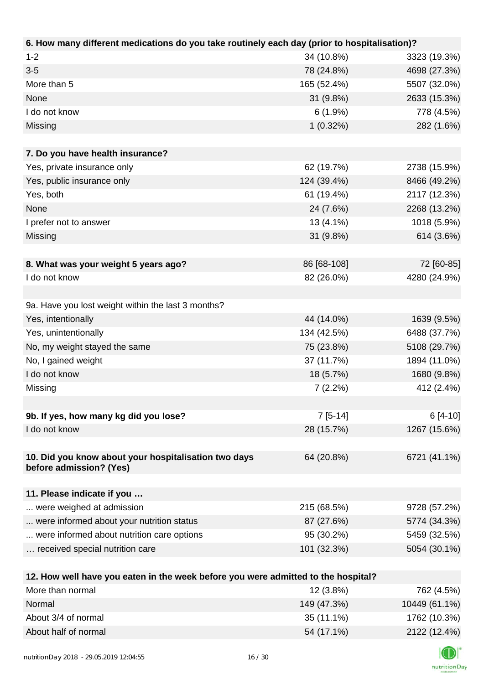| 6. How many different medications do you take routinely each day (prior to hospitalisation)? |             |              |
|----------------------------------------------------------------------------------------------|-------------|--------------|
| $1 - 2$                                                                                      | 34 (10.8%)  | 3323 (19.3%) |
| $3 - 5$                                                                                      | 78 (24.8%)  | 4698 (27.3%) |
| More than 5                                                                                  | 165 (52.4%) | 5507 (32.0%) |
| None                                                                                         | 31 (9.8%)   | 2633 (15.3%) |
| I do not know                                                                                | 6(1.9%)     | 778 (4.5%)   |
| Missing                                                                                      | 1(0.32%)    | 282 (1.6%)   |
|                                                                                              |             |              |
| 7. Do you have health insurance?                                                             |             |              |
| Yes, private insurance only                                                                  | 62 (19.7%)  | 2738 (15.9%) |
| Yes, public insurance only                                                                   | 124 (39.4%) | 8466 (49.2%) |
| Yes, both                                                                                    | 61 (19.4%)  | 2117 (12.3%) |
| None                                                                                         | 24 (7.6%)   | 2268 (13.2%) |
| I prefer not to answer                                                                       | 13 (4.1%)   | 1018 (5.9%)  |
| Missing                                                                                      | 31 (9.8%)   | 614 (3.6%)   |
|                                                                                              |             |              |
| 8. What was your weight 5 years ago?                                                         | 86 [68-108] | 72 [60-85]   |
| I do not know                                                                                | 82 (26.0%)  | 4280 (24.9%) |
|                                                                                              |             |              |
| 9a. Have you lost weight within the last 3 months?                                           |             |              |
| Yes, intentionally                                                                           | 44 (14.0%)  | 1639 (9.5%)  |
| Yes, unintentionally                                                                         | 134 (42.5%) | 6488 (37.7%) |
| No, my weight stayed the same                                                                | 75 (23.8%)  | 5108 (29.7%) |
| No, I gained weight                                                                          | 37 (11.7%)  | 1894 (11.0%) |
| I do not know                                                                                | 18 (5.7%)   | 1680 (9.8%)  |
| Missing                                                                                      | 7(2.2%)     | 412 (2.4%)   |
|                                                                                              |             |              |
| 9b. If yes, how many kg did you lose?                                                        | $7[5-14]$   | $6[4-10]$    |
| I do not know                                                                                | 28 (15.7%)  | 1267 (15.6%) |
|                                                                                              |             |              |
| 10. Did you know about your hospitalisation two days<br>before admission? (Yes)              | 64 (20.8%)  | 6721 (41.1%) |
|                                                                                              |             |              |
| 11. Please indicate if you                                                                   |             |              |
| were weighed at admission                                                                    | 215 (68.5%) | 9728 (57.2%) |
| were informed about your nutrition status                                                    | 87 (27.6%)  | 5774 (34.3%) |
| were informed about nutrition care options                                                   | 95 (30.2%)  | 5459 (32.5%) |
| received special nutrition care                                                              | 101 (32.3%) | 5054 (30.1%) |
|                                                                                              |             |              |
| 12. How well have you eaten in the week before you were admitted to the hospital?            |             |              |
| Mara than narmal                                                                             | 10(2.00/1)  | 700(150)     |

| More than normal     | $12(3.8\%)$ | 762 (4.5%)    |
|----------------------|-------------|---------------|
| Normal               | 149 (47.3%) | 10449 (61.1%) |
| About 3/4 of normal  | 35 (11.1%)  | 1762 (10.3%)  |
| About half of normal | 54 (17.1%)  | 2122 (12.4%)  |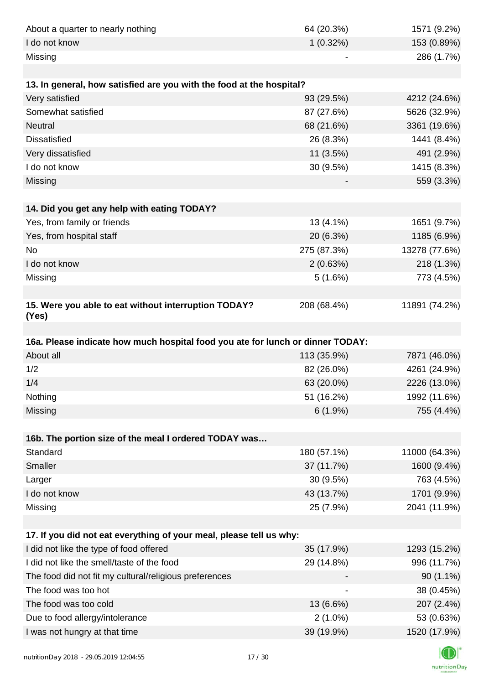| About a quarter to nearly nothing                                              | 64 (20.3%)               | 1571 (9.2%)                |
|--------------------------------------------------------------------------------|--------------------------|----------------------------|
| I do not know                                                                  | $1(0.32\%)$              | 153 (0.89%)                |
| Missing                                                                        |                          | 286 (1.7%)                 |
|                                                                                |                          |                            |
| 13. In general, how satisfied are you with the food at the hospital?           |                          |                            |
| Very satisfied                                                                 | 93 (29.5%)               | 4212 (24.6%)               |
| Somewhat satisfied                                                             | 87 (27.6%)               | 5626 (32.9%)               |
| <b>Neutral</b>                                                                 | 68 (21.6%)               | 3361 (19.6%)               |
| <b>Dissatisfied</b>                                                            | 26 (8.3%)                | 1441 (8.4%)                |
| Very dissatisfied                                                              | 11 (3.5%)                | 491 (2.9%)                 |
| I do not know                                                                  | 30 (9.5%)                | 1415 (8.3%)                |
| Missing                                                                        |                          | 559 (3.3%)                 |
|                                                                                |                          |                            |
| 14. Did you get any help with eating TODAY?                                    |                          |                            |
| Yes, from family or friends                                                    | 13 (4.1%)                | 1651 (9.7%)                |
| Yes, from hospital staff                                                       | 20 (6.3%)                | 1185 (6.9%)                |
| No                                                                             | 275 (87.3%)              | 13278 (77.6%)              |
| I do not know                                                                  | 2(0.63%)                 | 218 (1.3%)                 |
| Missing                                                                        | 5(1.6%)                  | 773 (4.5%)                 |
|                                                                                |                          |                            |
| 15. Were you able to eat without interruption TODAY?<br>(Yes)                  | 208 (68.4%)              | 11891 (74.2%)              |
|                                                                                |                          |                            |
| 16a. Please indicate how much hospital food you ate for lunch or dinner TODAY: |                          |                            |
| About all                                                                      | 113 (35.9%)              | 7871 (46.0%)               |
| 1/2                                                                            | 82 (26.0%)               | 4261 (24.9%)               |
| 1/4                                                                            | 63 (20.0%)               | 2226 (13.0%)               |
| Nothing                                                                        | 51 (16.2%)               | 1992 (11.6%)               |
| Missing                                                                        | 6(1.9%)                  | 755 (4.4%)                 |
|                                                                                |                          |                            |
| 16b. The portion size of the meal I ordered TODAY was                          |                          |                            |
| Standard                                                                       | 180 (57.1%)              | 11000 (64.3%)              |
| <b>Smaller</b>                                                                 | 37 (11.7%)               | 1600 (9.4%)                |
| Larger                                                                         | 30 (9.5%)                | 763 (4.5%)                 |
| I do not know                                                                  | 43 (13.7%)               | 1701 (9.9%)                |
| Missing                                                                        | 25 (7.9%)                | 2041 (11.9%)               |
|                                                                                |                          |                            |
| 17. If you did not eat everything of your meal, please tell us why:            |                          |                            |
| I did not like the type of food offered                                        | 35 (17.9%)               | 1293 (15.2%)               |
| I did not like the smell/taste of the food                                     | 29 (14.8%)               | 996 (11.7%)                |
| The food did not fit my cultural/religious preferences                         |                          | $90(1.1\%)$                |
| The food was too hot                                                           |                          | 38 (0.45%)                 |
| The food was too cold                                                          |                          |                            |
|                                                                                | 13 (6.6%)                | 207 (2.4%)                 |
| Due to food allergy/intolerance<br>I was not hungry at that time               | $2(1.0\%)$<br>39 (19.9%) | 53 (0.63%)<br>1520 (17.9%) |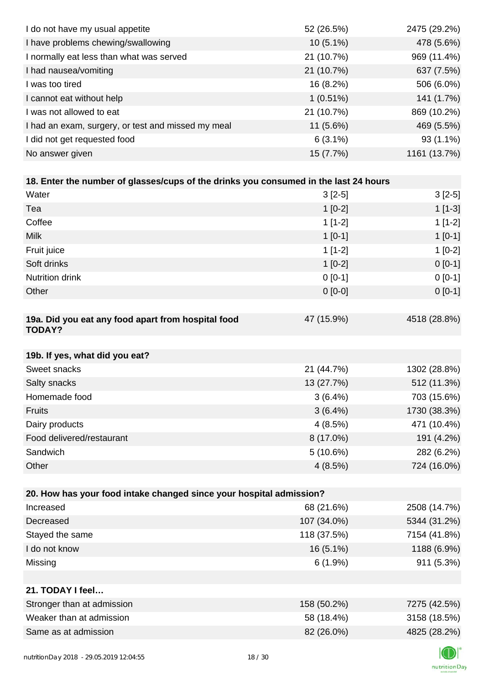| I do not have my usual appetite                                                      | 52 (26.5%)  | 2475 (29.2%) |
|--------------------------------------------------------------------------------------|-------------|--------------|
| I have problems chewing/swallowing                                                   | 10 (5.1%)   | 478 (5.6%)   |
| I normally eat less than what was served                                             | 21 (10.7%)  | 969 (11.4%)  |
| I had nausea/vomiting                                                                | 21 (10.7%)  | 637 (7.5%)   |
| I was too tired                                                                      | 16 (8.2%)   | 506 (6.0%)   |
| I cannot eat without help                                                            | $1(0.51\%)$ | 141 (1.7%)   |
| I was not allowed to eat                                                             | 21 (10.7%)  | 869 (10.2%)  |
| I had an exam, surgery, or test and missed my meal                                   | 11 (5.6%)   | 469 (5.5%)   |
| I did not get requested food                                                         | $6(3.1\%)$  | 93 (1.1%)    |
| No answer given                                                                      | 15 (7.7%)   | 1161 (13.7%) |
|                                                                                      |             |              |
| 18. Enter the number of glasses/cups of the drinks you consumed in the last 24 hours |             |              |
| Water                                                                                | $3[2-5]$    | $3[2-5]$     |
| Tea                                                                                  | $1[0-2]$    | $1[1-3]$     |
| Coffee                                                                               | $1[1-2]$    | $1[1-2]$     |
| <b>Milk</b>                                                                          | $1[0-1]$    | $1[0-1]$     |
| Fruit juice                                                                          | $1[1-2]$    | $1[0-2]$     |
| Soft drinks                                                                          | $1[0-2]$    | $0[0-1]$     |
| Nutrition drink                                                                      | $0 [0-1]$   | $0[0-1]$     |
| Other                                                                                | $0[0-0]$    | $0[0-1]$     |
|                                                                                      |             |              |
| 19a. Did you eat any food apart from hospital food<br><b>TODAY?</b>                  | 47 (15.9%)  | 4518 (28.8%) |
| 19b. If yes, what did you eat?                                                       |             |              |
| Sweet snacks                                                                         | 21 (44.7%)  | 1302 (28.8%) |
| Salty snacks                                                                         | 13 (27.7%)  | 512 (11.3%)  |
| Homemade food                                                                        | $3(6.4\%)$  | 703 (15.6%)  |
| <b>Fruits</b>                                                                        | $3(6.4\%)$  | 1730 (38.3%) |
| Dairy products                                                                       | 4(8.5%)     | 471 (10.4%)  |
| Food delivered/restaurant                                                            | 8 (17.0%)   | 191 (4.2%)   |
| Sandwich                                                                             | 5(10.6%)    | 282 (6.2%)   |
| Other                                                                                | 4(8.5%)     | 724 (16.0%)  |
|                                                                                      |             |              |
| 20. How has your food intake changed since your hospital admission?                  |             |              |
| Increased                                                                            | 68 (21.6%)  | 2508 (14.7%) |
| Decreased                                                                            | 107 (34.0%) | 5344 (31.2%) |
| Stayed the same                                                                      | 118 (37.5%) | 7154 (41.8%) |
| I do not know                                                                        | 16 (5.1%)   | 1188 (6.9%)  |
| Missing                                                                              | $6(1.9\%)$  | 911 (5.3%)   |
|                                                                                      |             |              |
| 21. TODAY I feel                                                                     |             |              |
| Stronger than at admission                                                           | 158 (50.2%) | 7275 (42.5%) |
| Weaker than at admission                                                             | 58 (18.4%)  | 3158 (18.5%) |
| Same as at admission                                                                 | 82 (26.0%)  | 4825 (28.2%) |
|                                                                                      |             |              |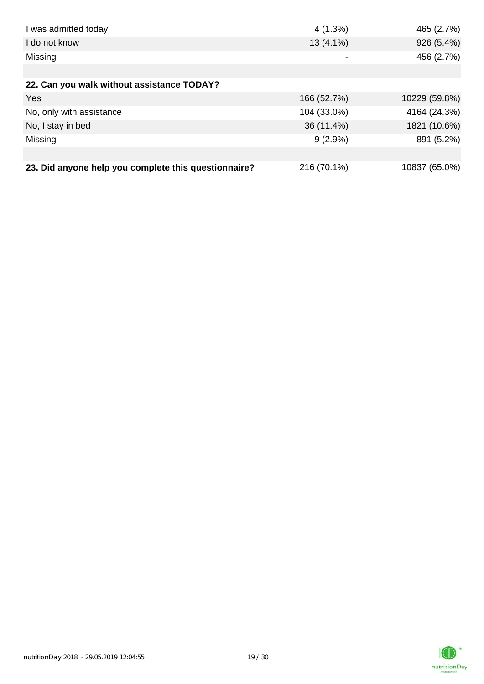| I was admitted today                                 | 4(1.3%)                  | 465 (2.7%)    |
|------------------------------------------------------|--------------------------|---------------|
| I do not know                                        | $13(4.1\%)$              | 926 (5.4%)    |
| Missing                                              | $\overline{\phantom{a}}$ | 456 (2.7%)    |
|                                                      |                          |               |
| 22. Can you walk without assistance TODAY?           |                          |               |
| Yes                                                  | 166 (52.7%)              | 10229 (59.8%) |
| No, only with assistance                             | 104 (33.0%)              | 4164 (24.3%)  |
| No, I stay in bed                                    | 36 (11.4%)               | 1821 (10.6%)  |
| Missing                                              | $9(2.9\%)$               | 891 (5.2%)    |
|                                                      |                          |               |
| 23. Did anyone help you complete this questionnaire? | 216 (70.1%)              | 10837 (65.0%) |

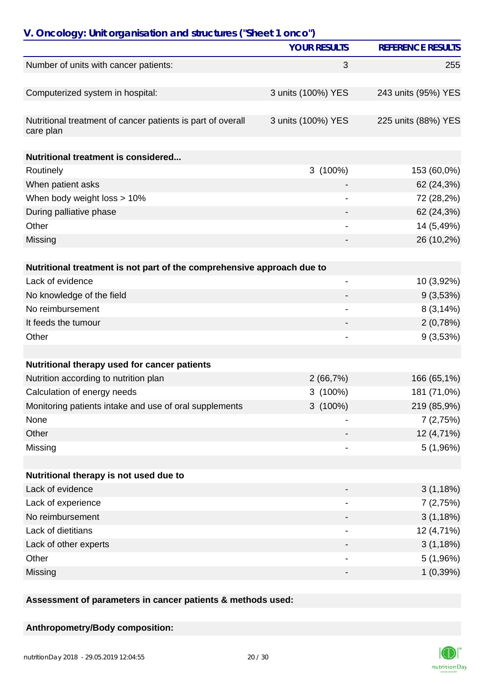| V. Oncology: Unit organisation and structures ("Sheet 1 onco")           |                              |                          |
|--------------------------------------------------------------------------|------------------------------|--------------------------|
|                                                                          | <b>YOUR RESULTS</b>          | <b>REFERENCE RESULTS</b> |
| Number of units with cancer patients:                                    | 3                            | 255                      |
| Computerized system in hospital:                                         | 3 units (100%) YES           | 243 units (95%) YES      |
|                                                                          |                              |                          |
| Nutritional treatment of cancer patients is part of overall<br>care plan | 3 units (100%) YES           | 225 units (88%) YES      |
| <b>Nutritional treatment is considered</b>                               |                              |                          |
| Routinely                                                                | 3 (100%)                     | 153 (60,0%)              |
| When patient asks                                                        |                              | 62 (24,3%)               |
| When body weight loss > 10%                                              |                              | 72 (28,2%)               |
| During palliative phase                                                  |                              | 62 (24,3%)               |
| Other                                                                    |                              | 14 (5,49%)               |
| Missing                                                                  |                              | 26 (10,2%)               |
| Nutritional treatment is not part of the comprehensive approach due to   |                              |                          |
| Lack of evidence                                                         | -                            | 10 (3,92%)               |
| No knowledge of the field                                                |                              | 9(3,53%)                 |
| No reimbursement                                                         | $\qquad \qquad \blacksquare$ | 8(3,14%)                 |
| It feeds the tumour                                                      |                              | 2(0,78%)                 |
| Other                                                                    |                              | 9(3,53%)                 |
|                                                                          |                              |                          |
| Nutritional therapy used for cancer patients                             |                              |                          |
| Nutrition according to nutrition plan                                    | 2(66,7%)                     | 166 (65,1%)              |
| Calculation of energy needs                                              | $3(100\%)$                   | 181 (71,0%)              |
| Monitoring patients intake and use of oral supplements                   | 3 (100%)                     | 219 (85,9%)              |
| None                                                                     |                              | 7(2,75%)                 |
| Other                                                                    |                              | 12 (4,71%)               |
| Missing                                                                  |                              | 5(1,96%)                 |
| Nutritional therapy is not used due to                                   |                              |                          |
| Lack of evidence                                                         |                              | 3(1,18%)                 |
| Lack of experience                                                       |                              | 7(2,75%)                 |
| No reimbursement                                                         |                              | 3(1,18%)                 |
| Lack of dietitians                                                       |                              | 12 (4,71%)               |
| Lack of other experts                                                    |                              | 3(1,18%)                 |
| Other                                                                    | $\overline{\phantom{a}}$     | 5(1,96%)                 |
| Missing                                                                  | -                            | 1(0,39%)                 |
|                                                                          |                              |                          |

**Assessment of parameters in cancer patients & methods used:**

#### **Anthropometry/Body composition:**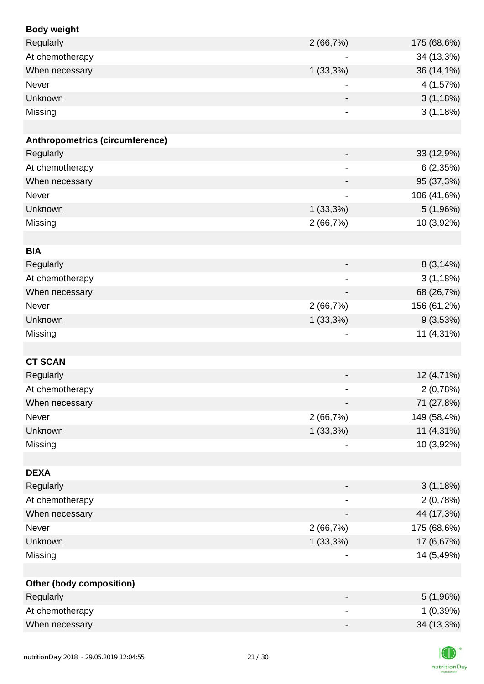| <b>Body weight</b>              |                              |             |
|---------------------------------|------------------------------|-------------|
| Regularly                       | 2(66,7%)                     | 175 (68,6%) |
| At chemotherapy                 | $\blacksquare$               | 34 (13,3%)  |
| When necessary                  | $1(33,3\%)$                  | 36 (14,1%)  |
| Never                           |                              | 4 (1,57%)   |
| Unknown                         |                              | 3(1,18%)    |
| Missing                         |                              | 3(1,18%)    |
|                                 |                              |             |
| Anthropometrics (circumference) |                              |             |
| Regularly                       | -                            | 33 (12,9%)  |
| At chemotherapy                 |                              | 6(2,35%)    |
| When necessary                  | $\blacksquare$               | 95 (37,3%)  |
| <b>Never</b>                    |                              | 106 (41,6%) |
| Unknown                         | $1(33,3\%)$                  | 5(1,96%)    |
| Missing                         | 2(66,7%)                     | 10 (3,92%)  |
|                                 |                              |             |
| <b>BIA</b>                      |                              |             |
| Regularly                       |                              | 8(3,14%)    |
| At chemotherapy                 |                              | 3(1,18%)    |
| When necessary                  |                              | 68 (26,7%)  |
| Never                           | 2(66,7%)                     | 156 (61,2%) |
| Unknown                         | 1(33,3%)                     | 9(3,53%)    |
| Missing                         |                              | 11 (4,31%)  |
|                                 |                              |             |
| <b>CT SCAN</b>                  |                              |             |
| Regularly                       |                              | 12 (4,71%)  |
| At chemotherapy                 |                              | 2(0,78%)    |
| When necessary                  |                              | 71 (27,8%)  |
| Never                           | 2(66,7%)                     | 149 (58,4%) |
| Unknown                         | 1(33,3%)                     | 11 (4,31%)  |
| Missing                         |                              | 10 (3,92%)  |
|                                 |                              |             |
| <b>DEXA</b>                     |                              |             |
| Regularly                       |                              | 3(1,18%)    |
| At chemotherapy                 | $\qquad \qquad \blacksquare$ | 2(0,78%)    |
| When necessary                  |                              | 44 (17,3%)  |
| Never                           | 2(66,7%)                     | 175 (68,6%) |
| Unknown                         | $1(33,3\%)$                  | 17 (6,67%)  |
| Missing                         |                              | 14 (5,49%)  |
|                                 |                              |             |
| <b>Other (body composition)</b> |                              |             |
| Regularly                       | $\overline{\phantom{a}}$     | 5(1,96%)    |
| At chemotherapy                 |                              | 1(0,39%)    |
| When necessary                  |                              | 34 (13,3%)  |
|                                 |                              |             |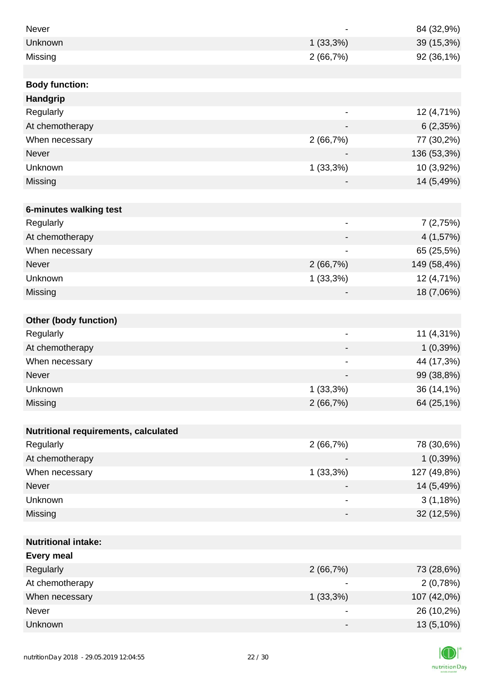| Never                                |                              | 84 (32,9%)  |
|--------------------------------------|------------------------------|-------------|
| <b>Unknown</b>                       | $1(33,3\%)$                  | 39 (15,3%)  |
| Missing                              | 2(66,7%)                     | 92 (36,1%)  |
|                                      |                              |             |
| <b>Body function:</b>                |                              |             |
| <b>Handgrip</b>                      |                              |             |
| Regularly                            | $\qquad \qquad \blacksquare$ | 12 (4,71%)  |
| At chemotherapy                      |                              | 6(2,35%)    |
| When necessary                       | 2(66,7%)                     | 77 (30,2%)  |
| <b>Never</b>                         |                              | 136 (53,3%) |
| Unknown                              | $1(33,3\%)$                  | 10 (3,92%)  |
| Missing                              |                              | 14 (5,49%)  |
|                                      |                              |             |
| 6-minutes walking test               |                              |             |
| Regularly                            | $\qquad \qquad \blacksquare$ | 7(2,75%)    |
| At chemotherapy                      | $\overline{\phantom{a}}$     | 4 (1,57%)   |
| When necessary                       |                              | 65 (25,5%)  |
| <b>Never</b>                         | 2(66,7%)                     | 149 (58,4%) |
| Unknown                              | $1(33,3\%)$                  | 12 (4,71%)  |
| Missing                              |                              | 18 (7,06%)  |
|                                      |                              |             |
| <b>Other (body function)</b>         |                              |             |
| Regularly                            | $\overline{\phantom{a}}$     | 11 (4,31%)  |
| At chemotherapy                      |                              | 1(0,39%)    |
| When necessary                       |                              | 44 (17,3%)  |
| Never                                |                              | 99 (38,8%)  |
| Unknown                              | 1(33,3%)                     | 36 (14,1%)  |
| Missing                              | 2(66,7%)                     | 64 (25,1%)  |
|                                      |                              |             |
| Nutritional requirements, calculated |                              |             |
| Regularly                            | 2(66,7%)                     | 78 (30,6%)  |
| At chemotherapy                      |                              | 1(0,39%)    |
| When necessary                       | 1(33,3%)                     | 127 (49,8%) |
| Never                                |                              | 14 (5,49%)  |
| Unknown                              |                              | 3(1,18%)    |
| Missing                              | -                            | 32 (12,5%)  |
|                                      |                              |             |
| <b>Nutritional intake:</b>           |                              |             |
| <b>Every meal</b>                    |                              |             |
| Regularly                            | 2(66,7%)                     | 73 (28,6%)  |
| At chemotherapy                      |                              | 2(0,78%)    |
| When necessary                       | $1(33,3\%)$                  | 107 (42,0%) |
| Never                                | $\overline{\phantom{a}}$     | 26 (10,2%)  |
| Unknown                              |                              | 13 (5,10%)  |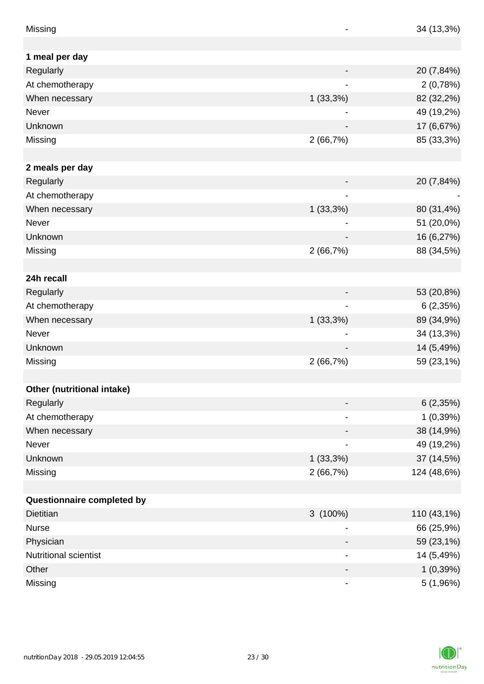| 1 meal per day<br>Regularly<br>20 (7,84%)<br>At chemotherapy<br>2(0,78%)<br>$1(33,3\%)$<br>82 (32,2%)<br>When necessary<br>49 (19,2%)<br><b>Never</b><br>Unknown<br>17 (6,67%)<br>2(66,7%)<br>85 (33,3%)<br>Missing<br>2 meals per day<br>Regularly<br>20 (7,84%)<br>At chemotherapy<br>When necessary<br>$1(33,3\%)$<br>80 (31,4%) |
|-------------------------------------------------------------------------------------------------------------------------------------------------------------------------------------------------------------------------------------------------------------------------------------------------------------------------------------|
|                                                                                                                                                                                                                                                                                                                                     |
|                                                                                                                                                                                                                                                                                                                                     |
|                                                                                                                                                                                                                                                                                                                                     |
|                                                                                                                                                                                                                                                                                                                                     |
|                                                                                                                                                                                                                                                                                                                                     |
|                                                                                                                                                                                                                                                                                                                                     |
|                                                                                                                                                                                                                                                                                                                                     |
|                                                                                                                                                                                                                                                                                                                                     |
|                                                                                                                                                                                                                                                                                                                                     |
|                                                                                                                                                                                                                                                                                                                                     |
|                                                                                                                                                                                                                                                                                                                                     |
|                                                                                                                                                                                                                                                                                                                                     |
|                                                                                                                                                                                                                                                                                                                                     |
| 51 (20,0%)<br>Never                                                                                                                                                                                                                                                                                                                 |
| Unknown<br>16 (6,27%)                                                                                                                                                                                                                                                                                                               |
| 88 (34,5%)<br>2(66,7%)<br>Missing                                                                                                                                                                                                                                                                                                   |
|                                                                                                                                                                                                                                                                                                                                     |
| 24h recall                                                                                                                                                                                                                                                                                                                          |
| Regularly<br>53 (20,8%)                                                                                                                                                                                                                                                                                                             |
| At chemotherapy<br>6(2,35%)                                                                                                                                                                                                                                                                                                         |
| 89 (34,9%)<br>When necessary<br>$1(33,3\%)$                                                                                                                                                                                                                                                                                         |
| 34 (13,3%)<br>Never                                                                                                                                                                                                                                                                                                                 |
| 14 (5,49%)<br>Unknown                                                                                                                                                                                                                                                                                                               |
| 59 (23,1%)<br>Missing<br>2(66,7%)                                                                                                                                                                                                                                                                                                   |
|                                                                                                                                                                                                                                                                                                                                     |
| Other (nutritional intake)                                                                                                                                                                                                                                                                                                          |
| Regularly<br>6(2,35%)                                                                                                                                                                                                                                                                                                               |
| $1(0,39\%)$<br>At chemotherapy<br>-                                                                                                                                                                                                                                                                                                 |
| 38 (14,9%)<br>When necessary<br>-                                                                                                                                                                                                                                                                                                   |
| Never<br>49 (19,2%)<br>$\overline{\phantom{a}}$                                                                                                                                                                                                                                                                                     |
| Unknown<br>$1(33,3\%)$<br>37 (14,5%)                                                                                                                                                                                                                                                                                                |
| 124 (48,6%)<br>Missing<br>2(66,7%)                                                                                                                                                                                                                                                                                                  |
|                                                                                                                                                                                                                                                                                                                                     |
| Questionnaire completed by                                                                                                                                                                                                                                                                                                          |
| $3(100\%)$<br><b>Dietitian</b><br>110 (43,1%)                                                                                                                                                                                                                                                                                       |
| 66 (25,9%)<br><b>Nurse</b>                                                                                                                                                                                                                                                                                                          |
| Physician<br>59 (23,1%)<br>-                                                                                                                                                                                                                                                                                                        |
| Nutritional scientist<br>14 (5,49%)                                                                                                                                                                                                                                                                                                 |
| Other<br>1(0,39%)                                                                                                                                                                                                                                                                                                                   |
| Missing<br>5 (1,96%)                                                                                                                                                                                                                                                                                                                |

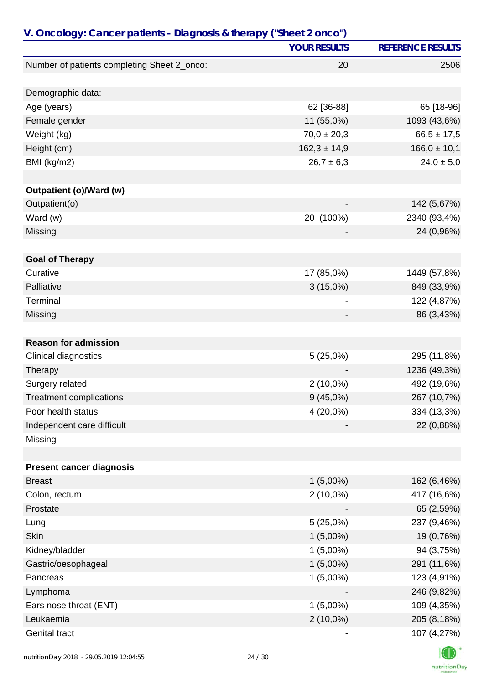|                                             | <b>YOUR RESULTS</b> | <b>REFERENCE RESULTS</b> |
|---------------------------------------------|---------------------|--------------------------|
| Number of patients completing Sheet 2_onco: | 20                  | 2506                     |
|                                             |                     |                          |
| Demographic data:                           |                     |                          |
| Age (years)                                 | 62 [36-88]          | 65 [18-96]               |
| Female gender                               | 11 (55,0%)          | 1093 (43,6%)             |
| Weight (kg)                                 | $70,0 \pm 20,3$     | $66,5 \pm 17,5$          |
| Height (cm)                                 | $162,3 \pm 14,9$    | $166,0 \pm 10,1$         |
| BMI (kg/m2)                                 | $26,7 \pm 6,3$      | $24,0 \pm 5,0$           |
| <b>Outpatient (o)/Ward (w)</b>              |                     |                          |
| Outpatient(o)                               |                     | 142 (5,67%)              |
| Ward (w)                                    | 20 (100%)           | 2340 (93,4%)             |
| Missing                                     |                     | 24 (0,96%)               |
|                                             |                     |                          |
| <b>Goal of Therapy</b>                      |                     |                          |
| Curative                                    | 17 (85,0%)          | 1449 (57,8%)             |
| Palliative                                  | $3(15,0\%)$         | 849 (33,9%)              |
| Terminal                                    |                     | 122 (4,87%)              |
| Missing                                     |                     | 86 (3,43%)               |
| <b>Reason for admission</b>                 |                     |                          |
| <b>Clinical diagnostics</b>                 | 5(25,0%)            | 295 (11,8%)              |
| Therapy                                     |                     | 1236 (49,3%)             |
| Surgery related                             | $2(10,0\%)$         | 492 (19,6%)              |
| <b>Treatment complications</b>              | $9(45,0\%)$         | 267 (10,7%)              |
| Poor health status                          | 4 (20,0%)           | 334 (13,3%)              |
| Independent care difficult                  |                     | 22 (0,88%)               |
| Missing                                     |                     |                          |
| <b>Present cancer diagnosis</b>             |                     |                          |
| <b>Breast</b>                               | $1(5,00\%)$         | 162 (6,46%)              |
| Colon, rectum                               | $2(10,0\%)$         | 417 (16,6%)              |
| Prostate                                    |                     | 65 (2,59%)               |
| Lung                                        | $5(25,0\%)$         | 237 (9,46%)              |
| <b>Skin</b>                                 | $1(5,00\%)$         | 19 (0,76%)               |
| Kidney/bladder                              | $1(5,00\%)$         | 94 (3,75%)               |
| Gastric/oesophageal                         | $1(5,00\%)$         | 291 (11,6%)              |
| Pancreas                                    | $1(5,00\%)$         | 123 (4,91%)              |
| Lymphoma                                    |                     | 246 (9,82%)              |
| Ears nose throat (ENT)                      | $1(5,00\%)$         | 109 (4,35%)              |
| Leukaemia                                   | $2(10,0\%)$         | 205 (8,18%)              |
| Genital tract                               |                     | 107 (4,27%)              |
|                                             |                     |                          |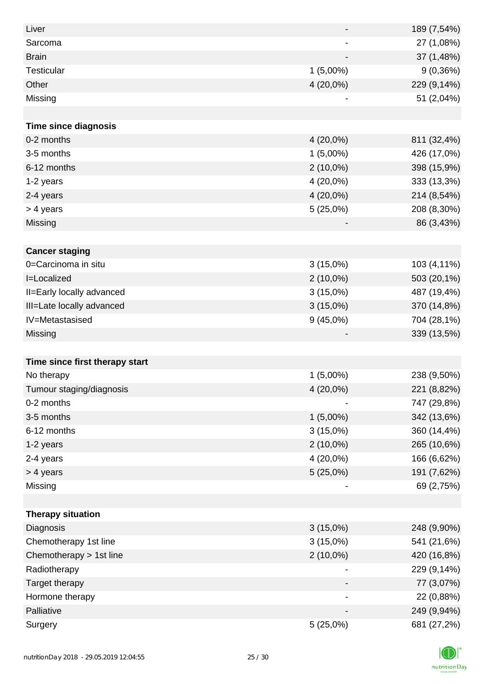| Liver                          |                          | 189 (7,54%) |
|--------------------------------|--------------------------|-------------|
| Sarcoma                        | $\overline{\phantom{a}}$ | 27 (1,08%)  |
| <b>Brain</b>                   |                          | 37 (1,48%)  |
| Testicular                     | $1(5,00\%)$              | 9(0,36%)    |
| Other                          | 4 (20,0%)                | 229 (9,14%) |
| Missing                        |                          | 51 (2,04%)  |
|                                |                          |             |
| <b>Time since diagnosis</b>    |                          |             |
| 0-2 months                     | 4 (20,0%)                | 811 (32,4%) |
| 3-5 months                     | $1(5,00\%)$              | 426 (17,0%) |
| 6-12 months                    | $2(10,0\%)$              | 398 (15,9%) |
| 1-2 years                      | 4 (20,0%)                | 333 (13,3%) |
| 2-4 years                      | 4 (20,0%)                | 214 (8,54%) |
| > 4 years                      | 5(25,0%)                 | 208 (8,30%) |
| Missing                        |                          | 86 (3,43%)  |
|                                |                          |             |
| <b>Cancer staging</b>          |                          |             |
| 0=Carcinoma in situ            | $3(15,0\%)$              | 103 (4,11%) |
| I=Localized                    | $2(10,0\%)$              | 503 (20,1%) |
| II=Early locally advanced      | $3(15,0\%)$              | 487 (19,4%) |
| III=Late locally advanced      | $3(15,0\%)$              | 370 (14,8%) |
| IV=Metastasised                | 9(45,0%)                 | 704 (28,1%) |
| Missing                        |                          | 339 (13,5%) |
|                                |                          |             |
| Time since first therapy start |                          |             |
| No therapy                     | $1(5,00\%)$              | 238 (9,50%) |
| Tumour staging/diagnosis       | 4 (20,0%)                | 221 (8,82%) |
| 0-2 months                     |                          | 747 (29,8%) |
| 3-5 months                     | $1(5,00\%)$              | 342 (13,6%) |
| 6-12 months                    | $3(15,0\%)$              | 360 (14,4%) |
| 1-2 years                      | $2(10,0\%)$              | 265 (10,6%) |
| 2-4 years                      | 4 (20,0%)                | 166 (6,62%) |
| > 4 years                      | 5(25,0%)                 | 191 (7,62%) |
| Missing                        |                          | 69 (2,75%)  |
|                                |                          |             |
| <b>Therapy situation</b>       |                          |             |
| Diagnosis                      | $3(15,0\%)$              | 248 (9,90%) |
| Chemotherapy 1st line          | $3(15,0\%)$              | 541 (21,6%) |
| Chemotherapy > 1st line        | $2(10,0\%)$              | 420 (16,8%) |
| Radiotherapy                   |                          | 229 (9,14%) |
| Target therapy                 |                          | 77 (3,07%)  |
| Hormone therapy                |                          | 22 (0,88%)  |
| Palliative                     |                          | 249 (9,94%) |
| Surgery                        | 5(25,0%)                 | 681 (27,2%) |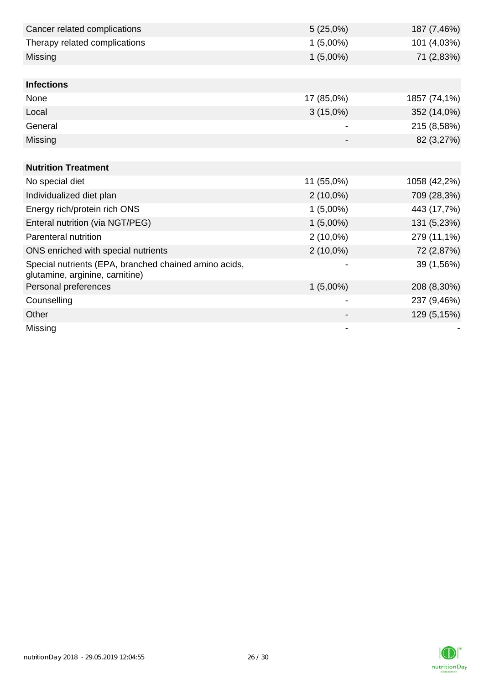| Cancer related complications                                                             | 5(25,0%)    | 187 (7,46%)  |
|------------------------------------------------------------------------------------------|-------------|--------------|
| Therapy related complications                                                            | $1(5,00\%)$ | 101 (4,03%)  |
| Missing                                                                                  | $1(5,00\%)$ | 71 (2,83%)   |
|                                                                                          |             |              |
| <b>Infections</b>                                                                        |             |              |
| None                                                                                     | 17 (85,0%)  | 1857 (74,1%) |
| Local                                                                                    | $3(15,0\%)$ | 352 (14,0%)  |
| General                                                                                  |             | 215 (8,58%)  |
| Missing                                                                                  |             | 82 (3,27%)   |
|                                                                                          |             |              |
| <b>Nutrition Treatment</b>                                                               |             |              |
| No special diet                                                                          | 11 (55,0%)  | 1058 (42,2%) |
| Individualized diet plan                                                                 | $2(10,0\%)$ | 709 (28,3%)  |
| Energy rich/protein rich ONS                                                             | $1(5,00\%)$ | 443 (17,7%)  |
| Enteral nutrition (via NGT/PEG)                                                          | $1(5,00\%)$ | 131 (5,23%)  |
| Parenteral nutrition                                                                     | $2(10,0\%)$ | 279 (11,1%)  |
| ONS enriched with special nutrients                                                      | $2(10,0\%)$ | 72 (2,87%)   |
| Special nutrients (EPA, branched chained amino acids,<br>glutamine, arginine, carnitine) |             | 39 (1,56%)   |
| Personal preferences                                                                     | $1(5,00\%)$ | 208 (8,30%)  |
| Counselling                                                                              |             | 237 (9,46%)  |
| Other                                                                                    |             | 129 (5,15%)  |
| Missing                                                                                  |             |              |

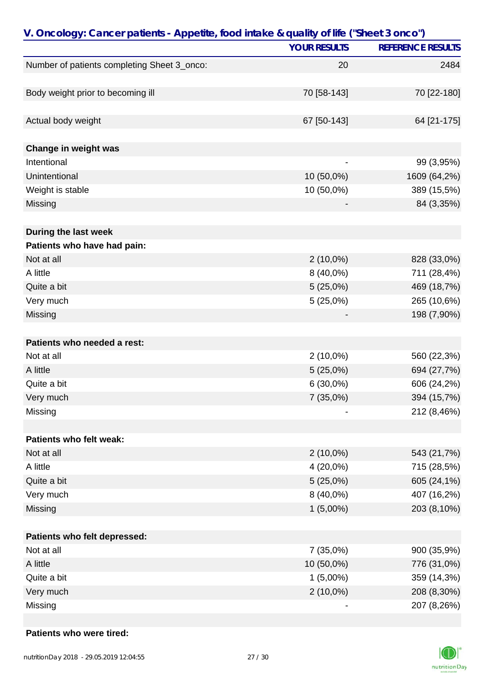| <b>YOUR RESULTS</b><br>Number of patients completing Sheet 3_onco:<br>20<br>Body weight prior to becoming ill<br>70 [58-143] | V. Oncology: Cancer patients - Appetite, food intake & quality of life ("Sheet 3 onco") |  |                          |
|------------------------------------------------------------------------------------------------------------------------------|-----------------------------------------------------------------------------------------|--|--------------------------|
|                                                                                                                              |                                                                                         |  | <b>REFERENCE RESULTS</b> |
|                                                                                                                              |                                                                                         |  | 2484                     |
|                                                                                                                              |                                                                                         |  |                          |
|                                                                                                                              |                                                                                         |  | 70 [22-180]              |
|                                                                                                                              |                                                                                         |  |                          |
| Actual body weight<br>67 [50-143]                                                                                            |                                                                                         |  | 64 [21-175]              |
|                                                                                                                              |                                                                                         |  |                          |
| Change in weight was                                                                                                         |                                                                                         |  |                          |
| Intentional                                                                                                                  |                                                                                         |  | 99 (3,95%)               |
| Unintentional<br>10 (50,0%)                                                                                                  |                                                                                         |  | 1609 (64,2%)             |
| 10 (50,0%)<br>Weight is stable                                                                                               |                                                                                         |  | 389 (15,5%)              |
| Missing                                                                                                                      |                                                                                         |  | 84 (3,35%)               |
|                                                                                                                              |                                                                                         |  |                          |
| During the last week                                                                                                         |                                                                                         |  |                          |
| Patients who have had pain:                                                                                                  |                                                                                         |  |                          |
| Not at all<br>$2(10,0\%)$                                                                                                    |                                                                                         |  | 828 (33,0%)              |
| A little<br>8 (40,0%)                                                                                                        |                                                                                         |  | 711 (28,4%)              |
| 5(25,0%)<br>Quite a bit                                                                                                      |                                                                                         |  | 469 (18,7%)              |
| Very much<br>5(25,0%)                                                                                                        |                                                                                         |  | 265 (10,6%)              |
| Missing                                                                                                                      |                                                                                         |  | 198 (7,90%)              |
| Patients who needed a rest:                                                                                                  |                                                                                         |  |                          |
| $2(10,0\%)$<br>Not at all                                                                                                    |                                                                                         |  | 560 (22,3%)              |
| A little<br>5(25,0%)                                                                                                         |                                                                                         |  | 694 (27,7%)              |
| $6(30,0\%)$<br>Quite a bit                                                                                                   |                                                                                         |  | 606 (24,2%)              |
|                                                                                                                              |                                                                                         |  |                          |
| Very much<br>7(35,0%)                                                                                                        |                                                                                         |  | 394 (15,7%)              |
| Missing                                                                                                                      |                                                                                         |  | 212 (8,46%)              |
| Patients who felt weak:                                                                                                      |                                                                                         |  |                          |
| Not at all<br>$2(10,0\%)$                                                                                                    |                                                                                         |  | 543 (21,7%)              |
| A little<br>4 (20,0%)                                                                                                        |                                                                                         |  | 715 (28,5%)              |
| Quite a bit<br>$5(25,0\%)$                                                                                                   |                                                                                         |  | 605 (24,1%)              |
| Very much<br>8 (40,0%)                                                                                                       |                                                                                         |  | 407 (16,2%)              |
| $1(5,00\%)$<br>Missing                                                                                                       |                                                                                         |  | 203 (8,10%)              |
|                                                                                                                              |                                                                                         |  |                          |
| Patients who felt depressed:                                                                                                 |                                                                                         |  |                          |
| Not at all<br>7(35,0%)                                                                                                       |                                                                                         |  | 900 (35,9%)              |
| 10 (50,0%)<br>A little                                                                                                       |                                                                                         |  | 776 (31,0%)              |
| Quite a bit<br>$1(5,00\%)$                                                                                                   |                                                                                         |  | 359 (14,3%)              |
| Very much<br>$2(10,0\%)$                                                                                                     |                                                                                         |  | 208 (8,30%)              |
| Missing                                                                                                                      |                                                                                         |  | 207 (8,26%)              |

#### **Patients who were tired:**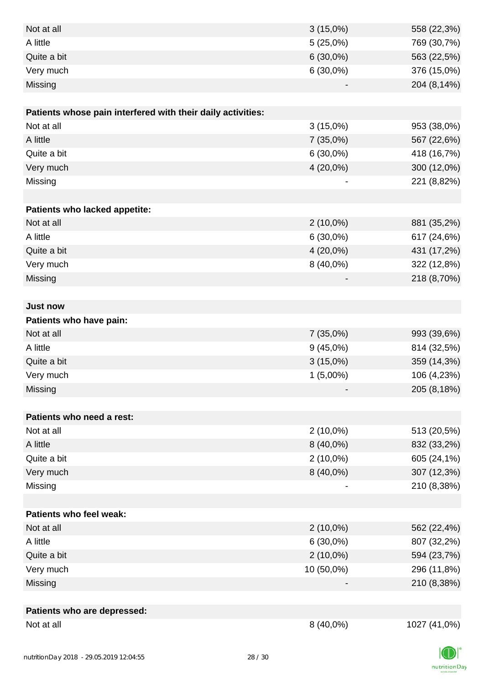| Not at all                                                  | 8 (40,0%)   | 1027 (41,0%) |
|-------------------------------------------------------------|-------------|--------------|
| Patients who are depressed:                                 |             |              |
|                                                             |             |              |
| Missing                                                     |             | 210 (8,38%)  |
| Very much                                                   | 10 (50,0%)  | 296 (11,8%)  |
| Quite a bit                                                 | $2(10,0\%)$ | 594 (23,7%)  |
| A little                                                    | $6(30,0\%)$ | 807 (32,2%)  |
| Not at all                                                  | $2(10,0\%)$ | 562 (22,4%)  |
| Patients who feel weak:                                     |             |              |
|                                                             |             |              |
| Missing                                                     |             | 210 (8,38%)  |
| Very much                                                   | 8 (40,0%)   | 307 (12,3%)  |
| Quite a bit                                                 | $2(10,0\%)$ | 605 (24,1%)  |
| A little                                                    | 8 (40,0%)   | 832 (33,2%)  |
| Not at all                                                  | $2(10,0\%)$ | 513 (20,5%)  |
| Patients who need a rest:                                   |             |              |
|                                                             |             |              |
| Missing                                                     |             | 205 (8,18%)  |
| Very much                                                   | $1(5,00\%)$ | 106 (4,23%)  |
| Quite a bit                                                 | $3(15,0\%)$ | 359 (14,3%)  |
| A little                                                    | $9(45,0\%)$ | 814 (32,5%)  |
| Not at all                                                  | 7(35,0%)    | 993 (39,6%)  |
| Patients who have pain:                                     |             |              |
| <b>Just now</b>                                             |             |              |
|                                                             |             |              |
| Missing                                                     |             | 218 (8,70%)  |
| Very much                                                   | 8 (40,0%)   | 322 (12,8%)  |
| Quite a bit                                                 | $4(20,0\%)$ | 431 (17,2%)  |
| A little                                                    | $6(30,0\%)$ | 617 (24,6%)  |
| Not at all                                                  | $2(10,0\%)$ | 881 (35,2%)  |
| Patients who lacked appetite:                               |             |              |
|                                                             |             |              |
| Missing                                                     |             | 221 (8,82%)  |
| Very much                                                   | $4(20,0\%)$ | 300 (12,0%)  |
| Quite a bit                                                 | $6(30,0\%)$ | 418 (16,7%)  |
| A little                                                    | 7(35,0%)    | 567 (22,6%)  |
| Not at all                                                  | $3(15,0\%)$ | 953 (38,0%)  |
| Patients whose pain interfered with their daily activities: |             |              |
|                                                             |             |              |
| Missing                                                     |             | 204 (8,14%)  |
| Very much                                                   | $6(30,0\%)$ | 376 (15,0%)  |
| Quite a bit                                                 | $6(30,0\%)$ | 563 (22,5%)  |
| A little                                                    | 5(25,0%)    | 769 (30,7%)  |
| Not at all                                                  | $3(15,0\%)$ | 558 (22,3%)  |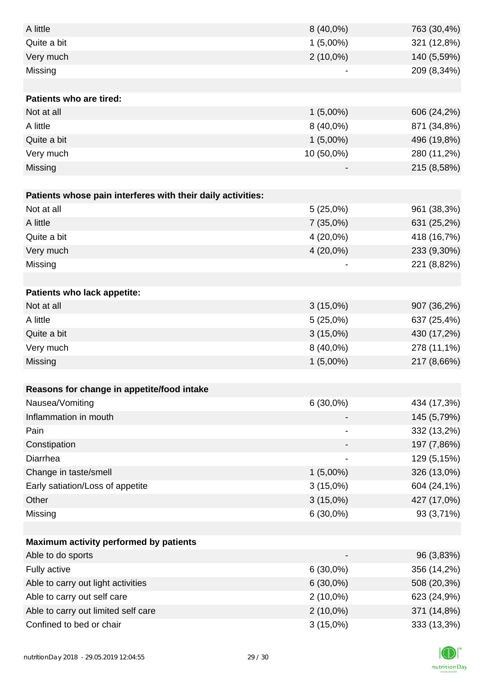| A little                                                    | 8 (40,0%)   | 763 (30,4%) |
|-------------------------------------------------------------|-------------|-------------|
| Quite a bit                                                 | $1(5,00\%)$ | 321 (12,8%) |
| Very much                                                   | $2(10,0\%)$ | 140 (5,59%) |
| Missing                                                     |             | 209 (8,34%) |
|                                                             |             |             |
| <b>Patients who are tired:</b>                              |             |             |
| Not at all                                                  | $1(5,00\%)$ | 606 (24,2%) |
| A little                                                    | 8 (40,0%)   | 871 (34,8%) |
| Quite a bit                                                 | $1(5,00\%)$ | 496 (19,8%) |
| Very much                                                   | 10 (50,0%)  | 280 (11,2%) |
| Missing                                                     |             | 215 (8,58%) |
|                                                             |             |             |
| Patients whose pain interferes with their daily activities: |             |             |
| Not at all                                                  | 5(25,0%)    | 961 (38,3%) |
| A little                                                    | 7(35,0%)    | 631 (25,2%) |
| Quite a bit                                                 | 4 (20,0%)   | 418 (16,7%) |
| Very much                                                   | 4 (20,0%)   | 233 (9,30%) |
| Missing                                                     |             | 221 (8,82%) |
|                                                             |             |             |
| <b>Patients who lack appetite:</b>                          |             |             |
| Not at all                                                  | $3(15,0\%)$ | 907 (36,2%) |
| A little                                                    | 5(25,0%)    | 637 (25,4%) |
| Quite a bit                                                 | $3(15,0\%)$ | 430 (17,2%) |
| Very much                                                   | 8 (40,0%)   | 278 (11,1%) |
| Missing                                                     | $1(5,00\%)$ | 217 (8,66%) |
|                                                             |             |             |
| Reasons for change in appetite/food intake                  |             |             |
| Nausea/Vomiting                                             | $6(30,0\%)$ | 434 (17,3%) |
| Inflammation in mouth                                       |             | 145 (5,79%) |
| Pain                                                        |             | 332 (13,2%) |
| Constipation                                                |             | 197 (7,86%) |
| Diarrhea                                                    |             | 129 (5,15%) |
| Change in taste/smell                                       | $1(5,00\%)$ | 326 (13,0%) |
| Early satiation/Loss of appetite                            | $3(15,0\%)$ | 604 (24,1%) |
| Other                                                       | $3(15,0\%)$ | 427 (17,0%) |
| Missing                                                     | $6(30,0\%)$ | 93 (3,71%)  |
|                                                             |             |             |
| Maximum activity performed by patients                      |             |             |
| Able to do sports                                           |             | 96 (3,83%)  |
| Fully active                                                | $6(30,0\%)$ | 356 (14,2%) |
| Able to carry out light activities                          | $6(30,0\%)$ | 508 (20,3%) |
| Able to carry out self care                                 | $2(10,0\%)$ | 623 (24,9%) |
| Able to carry out limited self care                         | $2(10,0\%)$ | 371 (14,8%) |
| Confined to bed or chair                                    | $3(15,0\%)$ | 333 (13,3%) |